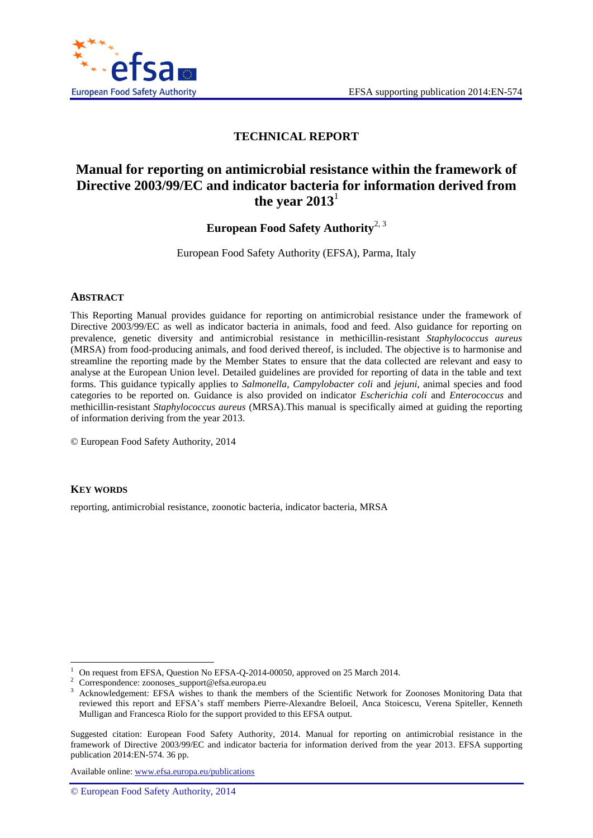

# **TECHNICAL REPORT**

# **Manual for reporting on antimicrobial resistance within the framework of Directive 2003/99/EC and indicator bacteria for information derived from**  the year  $2013<sup>1</sup>$

**European Food Safety Authority**2, 3

European Food Safety Authority (EFSA), Parma, Italy

### <span id="page-0-0"></span>**ABSTRACT**

This Reporting Manual provides guidance for reporting on antimicrobial resistance under the framework of Directive 2003/99/EC as well as indicator bacteria in animals, food and feed. Also guidance for reporting on prevalence, genetic diversity and antimicrobial resistance in methicillin-resistant *Staphylococcus aureus*  (MRSA) from food-producing animals, and food derived thereof, is included. The objective is to harmonise and streamline the reporting made by the Member States to ensure that the data collected are relevant and easy to analyse at the European Union level. Detailed guidelines are provided for reporting of data in the table and text forms. This guidance typically applies to *Salmonella*, *Campylobacter coli* and *jejuni*, animal species and food categories to be reported on. Guidance is also provided on indicator *Escherichia coli* and *Enterococcus* and methicillin-resistant *Staphylococcus aureus* (MRSA).This manual is specifically aimed at guiding the reporting of information deriving from the year 2013.

© European Food Safety Authority, 2014

#### **KEY WORDS**

l

reporting, antimicrobial resistance, zoonotic bacteria, indicator bacteria, MRSA

Available online: www.efsa.europa.eu/publications

<sup>&</sup>lt;sup>1</sup> On request from EFSA, Question No EFSA-Q-2014-00050, approved on 25 March 2014.<br><sup>2</sup> Correspondences geography Cafee surges and  $\frac{1}{2}$ 

Correspondence[: zoonoses\\_support@efsa.europa.eu](mailto:zoonoses_support@efsa.europa.eu)

<sup>3</sup> Acknowledgement: EFSA wishes to thank the members of the Scientific Network for Zoonoses Monitoring Data that reviewed this report and EFSA's staff members Pierre-Alexandre Beloeil, Anca Stoicescu, Verena Spiteller, Kenneth Mulligan and Francesca Riolo for the support provided to this EFSA output.

Suggested citation: European Food Safety Authority, 2014. Manual for reporting on antimicrobial resistance in the framework of Directive 2003/99/EC and indicator bacteria for information derived from the year 2013. EFSA supporting publication 2014:EN-574. 36 pp.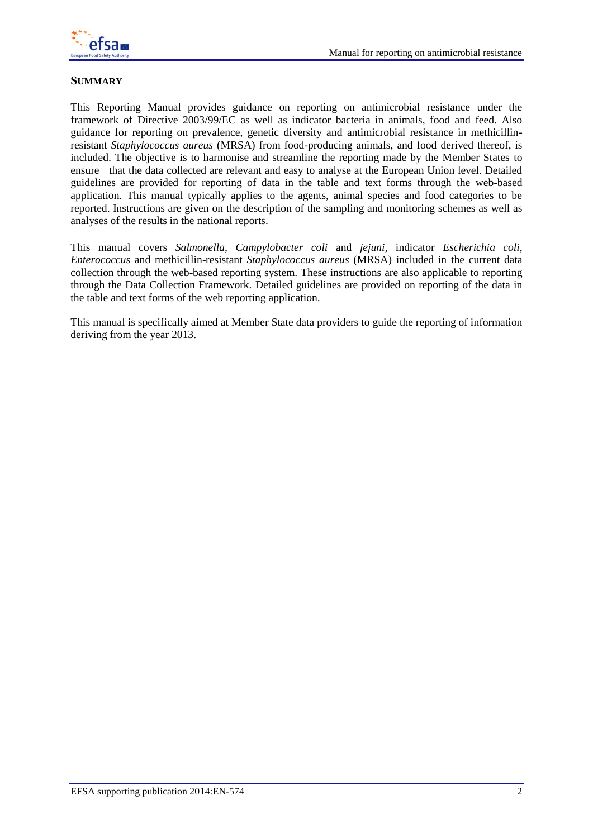

# <span id="page-1-0"></span>**SUMMARY**

This Reporting Manual provides guidance on reporting on antimicrobial resistance under the framework of Directive 2003/99/EC as well as indicator bacteria in animals, food and feed. Also guidance for reporting on prevalence, genetic diversity and antimicrobial resistance in methicillinresistant *Staphylococcus aureus* (MRSA) from food-producing animals, and food derived thereof, is included. The objective is to harmonise and streamline the reporting made by the Member States to ensure that the data collected are relevant and easy to analyse at the European Union level. Detailed guidelines are provided for reporting of data in the table and text forms through the web-based application. This manual typically applies to the agents, animal species and food categories to be reported. Instructions are given on the description of the sampling and monitoring schemes as well as analyses of the results in the national reports.

This manual covers *Salmonella*, *Campylobacter coli* and *jejuni*, indicator *Escherichia coli*, *Enterococcus* and methicillin-resistant *Staphylococcus aureus* (MRSA) included in the current data collection through the web-based reporting system. These instructions are also applicable to reporting through the Data Collection Framework. Detailed guidelines are provided on reporting of the data in the table and text forms of the web reporting application.

This manual is specifically aimed at Member State data providers to guide the reporting of information deriving from the year 2013.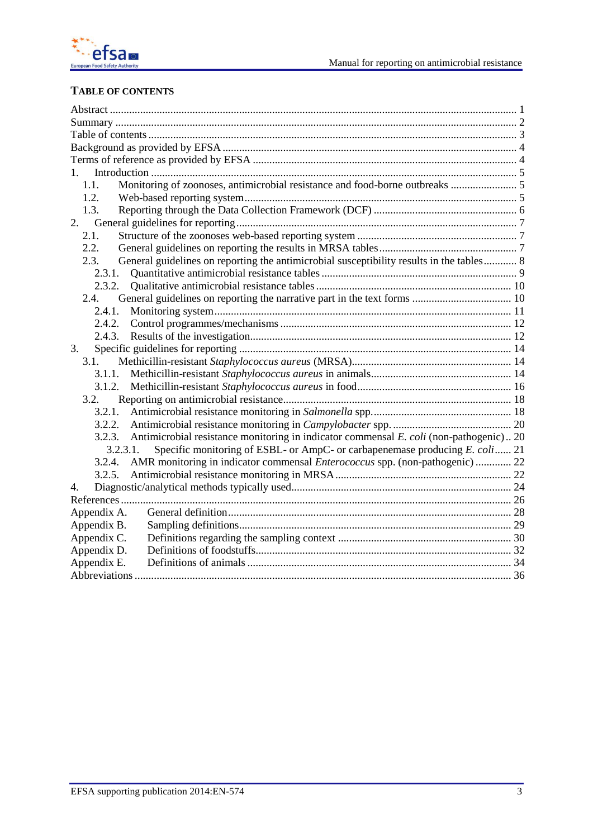

# <span id="page-2-0"></span>**TABLE OF CONTENTS**

| $1_{\cdots}$                                                                                     |  |  |  |  |
|--------------------------------------------------------------------------------------------------|--|--|--|--|
| 1.1.                                                                                             |  |  |  |  |
| 1.2.                                                                                             |  |  |  |  |
| 1.3.                                                                                             |  |  |  |  |
| 2.                                                                                               |  |  |  |  |
| 2.1.                                                                                             |  |  |  |  |
| 2.2.                                                                                             |  |  |  |  |
| General guidelines on reporting the antimicrobial susceptibility results in the tables 8<br>2.3. |  |  |  |  |
| 2.3.1.                                                                                           |  |  |  |  |
| 2.3.2.                                                                                           |  |  |  |  |
| 2.4.                                                                                             |  |  |  |  |
| 2.4.1.                                                                                           |  |  |  |  |
| 2.4.2.                                                                                           |  |  |  |  |
| 2.4.3.                                                                                           |  |  |  |  |
| 3.                                                                                               |  |  |  |  |
| 3.1.                                                                                             |  |  |  |  |
| 3.1.1.                                                                                           |  |  |  |  |
| 3.1.2.                                                                                           |  |  |  |  |
| 3.2.                                                                                             |  |  |  |  |
| 3.2.1.                                                                                           |  |  |  |  |
| 3.2.2.                                                                                           |  |  |  |  |
| Antimicrobial resistance monitoring in indicator commensal E. coli (non-pathogenic) 20<br>3.2.3. |  |  |  |  |
| Specific monitoring of ESBL- or AmpC- or carbapenemase producing E. coli 21<br>3.2.3.1.          |  |  |  |  |
| AMR monitoring in indicator commensal <i>Enterococcus</i> spp. (non-pathogenic)  22<br>3.2.4.    |  |  |  |  |
| 3.2.5.                                                                                           |  |  |  |  |
| 4.                                                                                               |  |  |  |  |
|                                                                                                  |  |  |  |  |
| Appendix A.                                                                                      |  |  |  |  |
| Appendix B.                                                                                      |  |  |  |  |
| Appendix C.                                                                                      |  |  |  |  |
| Appendix D.                                                                                      |  |  |  |  |
| Appendix E.                                                                                      |  |  |  |  |
|                                                                                                  |  |  |  |  |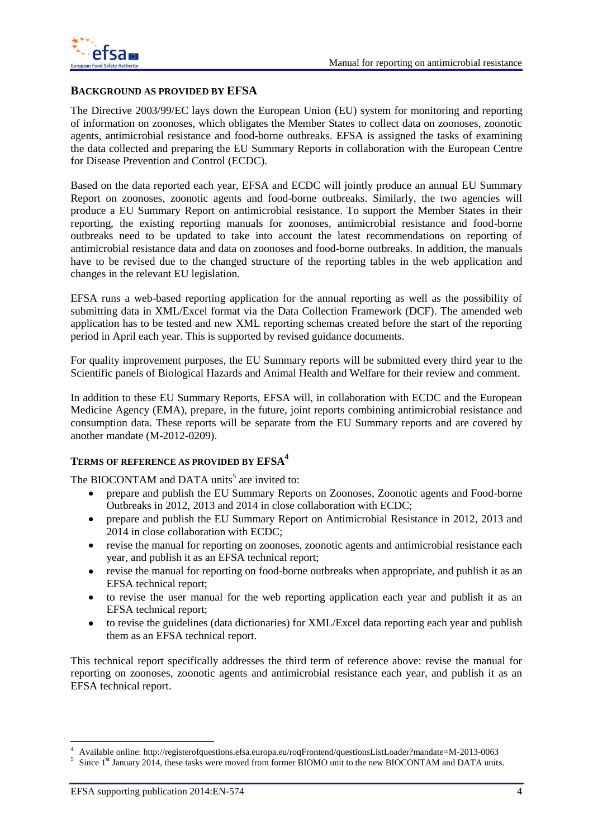

# <span id="page-3-0"></span>**BACKGROUND AS PROVIDED BY EFSA**

The Directive 2003/99/EC lays down the European Union (EU) system for monitoring and reporting of information on zoonoses, which obligates the Member States to collect data on zoonoses, zoonotic agents, antimicrobial resistance and food-borne outbreaks. EFSA is assigned the tasks of examining the data collected and preparing the EU Summary Reports in collaboration with the European Centre for Disease Prevention and Control (ECDC).

Based on the data reported each year, EFSA and ECDC will jointly produce an annual EU Summary Report on zoonoses, zoonotic agents and food-borne outbreaks. Similarly, the two agencies will produce a EU Summary Report on antimicrobial resistance. To support the Member States in their reporting, the existing reporting manuals for zoonoses, antimicrobial resistance and food-borne outbreaks need to be updated to take into account the latest recommendations on reporting of antimicrobial resistance data and data on zoonoses and food-borne outbreaks. In addition, the manuals have to be revised due to the changed structure of the reporting tables in the web application and changes in the relevant EU legislation.

EFSA runs a web-based reporting application for the annual reporting as well as the possibility of submitting data in XML/Excel format via the Data Collection Framework (DCF). The amended web application has to be tested and new XML reporting schemas created before the start of the reporting period in April each year. This is supported by revised guidance documents.

For quality improvement purposes, the EU Summary reports will be submitted every third year to the Scientific panels of Biological Hazards and Animal Health and Welfare for their review and comment.

In addition to these EU Summary Reports, EFSA will, in collaboration with ECDC and the European Medicine Agency (EMA), prepare, in the future, joint reports combining antimicrobial resistance and consumption data. These reports will be separate from the EU Summary reports and are covered by another mandate (M-2012-0209).

# <span id="page-3-1"></span>**TERMS OF REFERENCE AS PROVIDED BY EFSA<sup>4</sup>**

The BIOCONTAM and DATA units<sup>5</sup> are invited to:

- prepare and publish the EU Summary Reports on Zoonoses, Zoonotic agents and Food-borne Outbreaks in 2012, 2013 and 2014 in close collaboration with ECDC;
- prepare and publish the EU Summary Report on Antimicrobial Resistance in 2012, 2013 and 2014 in close collaboration with ECDC:
- revise the manual for reporting on zoonoses, zoonotic agents and antimicrobial resistance each year, and publish it as an EFSA technical report;
- revise the manual for reporting on food-borne outbreaks when appropriate, and publish it as an EFSA technical report;
- to revise the user manual for the web reporting application each year and publish it as an EFSA technical report;
- to revise the guidelines (data dictionaries) for XML/Excel data reporting each year and publish  $\bullet$ them as an EFSA technical report.

This technical report specifically addresses the third term of reference above: revise the manual for reporting on zoonoses, zoonotic agents and antimicrobial resistance each year, and publish it as an EFSA technical report.

<sup>4</sup> Available online: [http://registerofquestions.efsa.europa.eu/roqFrontend/questionsListLoader?mandate=M-2013-0063](http://registerofquestions.efsa.europa.eu/roqFrontend/questionsListLoader?mandate=M%1e2013%1e0063)

<sup>5</sup> Since 1<sup>st</sup> January 2014, these tasks were moved from former BIOMO unit to the new BIOCONTAM and DATA units.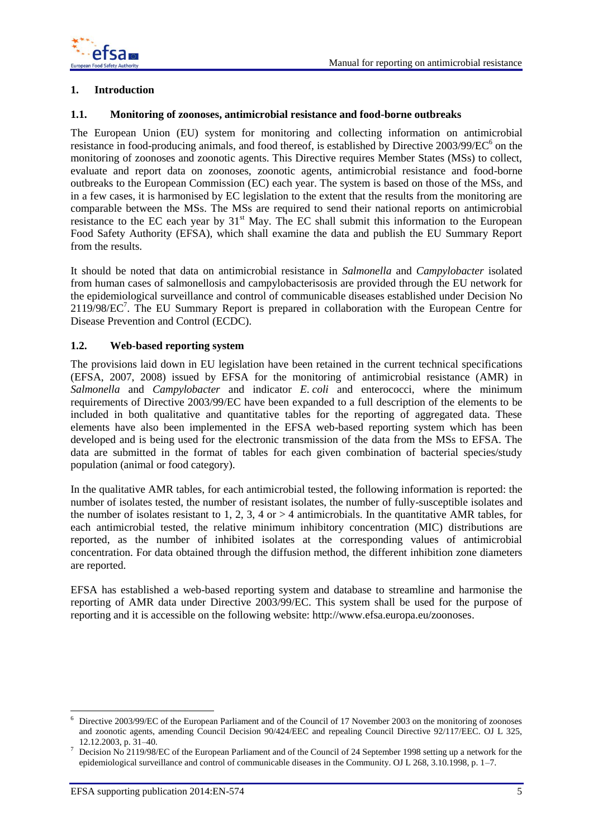

# <span id="page-4-0"></span>**1. Introduction**

# <span id="page-4-1"></span>**1.1. Monitoring of zoonoses, antimicrobial resistance and food-borne outbreaks**

The European Union (EU) system for monitoring and collecting information on antimicrobial resistance in food-producing animals, and food thereof, is established by Directive 2003/99/EC<sup>6</sup> on the monitoring of zoonoses and zoonotic agents. This Directive requires Member States (MSs) to collect, evaluate and report data on zoonoses, zoonotic agents, antimicrobial resistance and food-borne outbreaks to the European Commission (EC) each year. The system is based on those of the MSs, and in a few cases, it is harmonised by EC legislation to the extent that the results from the monitoring are comparable between the MSs. The MSs are required to send their national reports on antimicrobial resistance to the EC each year by  $31<sup>st</sup>$  May. The EC shall submit this information to the European Food Safety Authority (EFSA), which shall examine the data and publish the EU Summary Report from the results.

It should be noted that data on antimicrobial resistance in *Salmonella* and *Campylobacter* isolated from human cases of salmonellosis and campylobacterisosis are provided through the EU network for the epidemiological surveillance and control of communicable diseases established under Decision No  $2119/98/EC^7$ . The EU Summary Report is prepared in collaboration with the European Centre for Disease Prevention and Control (ECDC).

# <span id="page-4-2"></span>**1.2. Web-based reporting system**

The provisions laid down in EU legislation have been retained in the current technical specifications (EFSA, 2007, 2008) issued by EFSA for the monitoring of antimicrobial resistance (AMR) in *Salmonella* and *Campylobacter* and indicator *E*. *coli* and enterococci, where the minimum requirements of Directive 2003/99/EC have been expanded to a full description of the elements to be included in both qualitative and quantitative tables for the reporting of aggregated data. These elements have also been implemented in the EFSA web-based reporting system which has been developed and is being used for the electronic transmission of the data from the MSs to EFSA. The data are submitted in the format of tables for each given combination of bacterial species/study population (animal or food category).

In the qualitative AMR tables, for each antimicrobial tested, the following information is reported: the number of isolates tested, the number of resistant isolates, the number of fully-susceptible isolates and the number of isolates resistant to 1, 2, 3, 4 or  $>$  4 antimicrobials. In the quantitative AMR tables, for each antimicrobial tested, the relative minimum inhibitory concentration (MIC) distributions are reported, as the number of inhibited isolates at the corresponding values of antimicrobial concentration. For data obtained through the diffusion method, the different inhibition zone diameters are reported.

EFSA has established a web-based reporting system and database to streamline and harmonise the reporting of AMR data under Directive 2003/99/EC. This system shall be used for the purpose of reporting and it is accessible on the following website: [http://www.efsa.europa.eu/zoonoses.](http://www.efsa.europa.eu/zoonoses)

l Directive 2003/99/EC of the European Parliament and of the Council of 17 November 2003 on the monitoring of zoonoses and zoonotic agents, amending Council Decision 90/424/EEC and repealing Council Directive 92/117/EEC. OJ L 325, 12.12.2003, p. 31–40.

<sup>7</sup> Decision No 2119/98/EC of the European Parliament and of the Council of 24 September 1998 setting up a network for the epidemiological surveillance and control of communicable diseases in the Community. OJ L 268, 3.10.1998, p. 1–7.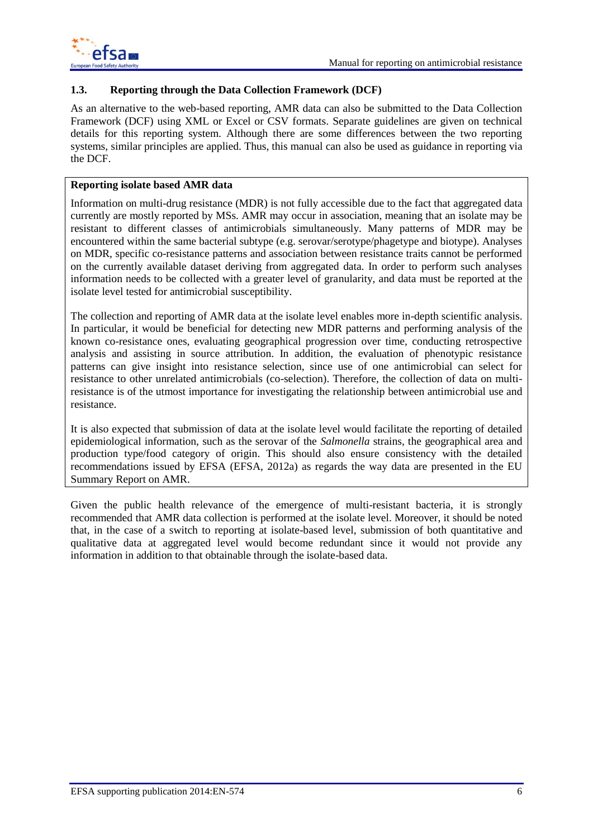

# <span id="page-5-0"></span>**1.3. Reporting through the Data Collection Framework (DCF)**

As an alternative to the web-based reporting, AMR data can also be submitted to the Data Collection Framework (DCF) using XML or Excel or CSV formats. Separate guidelines are given on technical details for this reporting system. Although there are some differences between the two reporting systems, similar principles are applied. Thus, this manual can also be used as guidance in reporting via the DCF.

# **Reporting isolate based AMR data**

Information on multi-drug resistance (MDR) is not fully accessible due to the fact that aggregated data currently are mostly reported by MSs. AMR may occur in association, meaning that an isolate may be resistant to different classes of antimicrobials simultaneously. Many patterns of MDR may be encountered within the same bacterial subtype (e.g. serovar/serotype/phagetype and biotype). Analyses on MDR, specific co-resistance patterns and association between resistance traits cannot be performed on the currently available dataset deriving from aggregated data. In order to perform such analyses information needs to be collected with a greater level of granularity, and data must be reported at the isolate level tested for antimicrobial susceptibility.

The collection and reporting of AMR data at the isolate level enables more in-depth scientific analysis. In particular, it would be beneficial for detecting new MDR patterns and performing analysis of the known co-resistance ones, evaluating geographical progression over time, conducting retrospective analysis and assisting in source attribution. In addition, the evaluation of phenotypic resistance patterns can give insight into resistance selection, since use of one antimicrobial can select for resistance to other unrelated antimicrobials (co-selection). Therefore, the collection of data on multiresistance is of the utmost importance for investigating the relationship between antimicrobial use and resistance.

It is also expected that submission of data at the isolate level would facilitate the reporting of detailed epidemiological information, such as the serovar of the *Salmonella* strains, the geographical area and production type/food category of origin. This should also ensure consistency with the detailed recommendations issued by EFSA (EFSA, 2012a) as regards the way data are presented in the EU Summary Report on AMR.

Given the public health relevance of the emergence of multi-resistant bacteria, it is strongly recommended that AMR data collection is performed at the isolate level. Moreover, it should be noted that, in the case of a switch to reporting at isolate-based level, submission of both quantitative and qualitative data at aggregated level would become redundant since it would not provide any information in addition to that obtainable through the isolate-based data.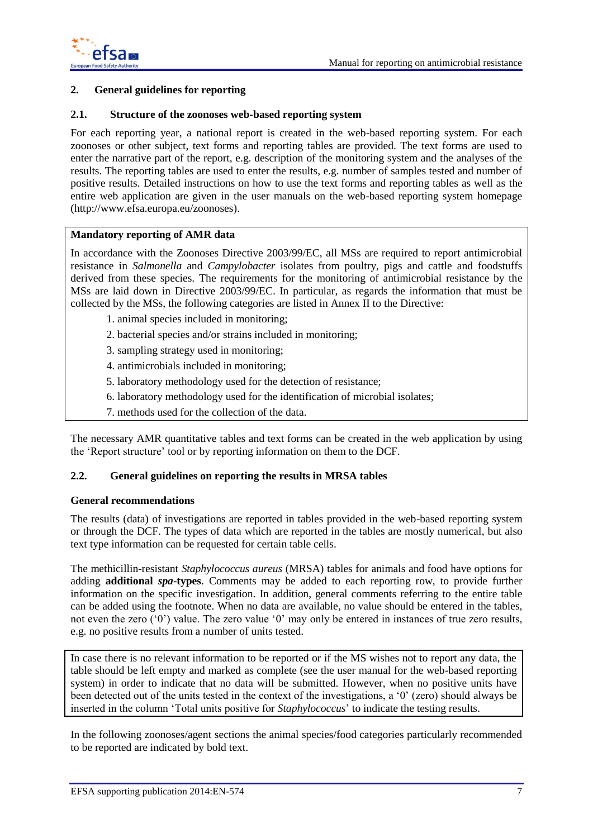



# <span id="page-6-0"></span>**2. General guidelines for reporting**

# <span id="page-6-1"></span>**2.1. Structure of the zoonoses web-based reporting system**

For each reporting year, a national report is created in the web-based reporting system. For each zoonoses or other subject, text forms and reporting tables are provided. The text forms are used to enter the narrative part of the report, e.g. description of the monitoring system and the analyses of the results. The reporting tables are used to enter the results, e.g. number of samples tested and number of positive results. Detailed instructions on how to use the text forms and reporting tables as well as the entire web application are given in the user manuals on the web-based reporting system homepage [\(http://www.efsa.europa.eu/zoonoses\)](http://www.efsa.europa.eu/zoonoses).

# **Mandatory reporting of AMR data**

In accordance with the Zoonoses Directive 2003/99/EC, all MSs are required to report antimicrobial resistance in *Salmonella* and *Campylobacter* isolates from poultry, pigs and cattle and foodstuffs derived from these species. The requirements for the monitoring of antimicrobial resistance by the MSs are laid down in Directive 2003/99/EC. In particular, as regards the information that must be collected by the MSs, the following categories are listed in Annex II to the Directive:

- 1. animal species included in monitoring;
- 2. bacterial species and/or strains included in monitoring;
- 3. sampling strategy used in monitoring;
- 4. antimicrobials included in monitoring;
- 5. laboratory methodology used for the detection of resistance;
- 6. laboratory methodology used for the identification of microbial isolates;
- 7. methods used for the collection of the data.

The necessary AMR quantitative tables and text forms can be created in the web application by using the 'Report structure' tool or by reporting information on them to the DCF.

### <span id="page-6-2"></span>**2.2. General guidelines on reporting the results in MRSA tables**

### **General recommendations**

The results (data) of investigations are reported in tables provided in the web-based reporting system or through the DCF. The types of data which are reported in the tables are mostly numerical, but also text type information can be requested for certain table cells.

The methicillin-resistant *Staphylococcus aureus* (MRSA) tables for animals and food have options for adding **additional** *spa***-types**. Comments may be added to each reporting row, to provide further information on the specific investigation. In addition, general comments referring to the entire table can be added using the footnote. When no data are available, no value should be entered in the tables, not even the zero ('0') value. The zero value '0' may only be entered in instances of true zero results, e.g. no positive results from a number of units tested.

In case there is no relevant information to be reported or if the MS wishes not to report any data, the table should be left empty and marked as complete (see the user manual for the web-based reporting system) in order to indicate that no data will be submitted. However, when no positive units have been detected out of the units tested in the context of the investigations, a '0' (zero) should always be inserted in the column 'Total units positive for *Staphylococcus*' to indicate the testing results.

In the following zoonoses/agent sections the animal species/food categories particularly recommended to be reported are indicated by bold text.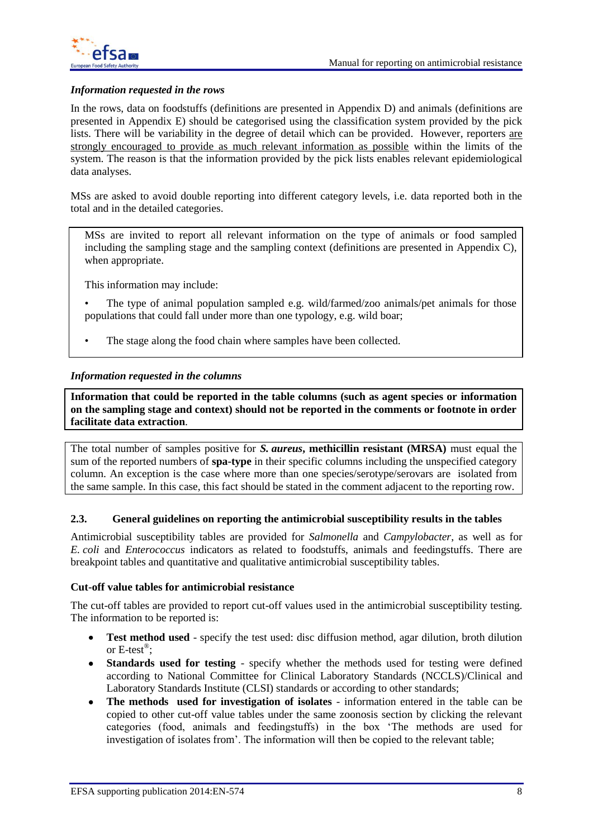

# *Information requested in the rows*

In the rows, data on foodstuffs (definitions are presented in Appendix D) and animals (definitions are presented in Appendix E) should be categorised using the classification system provided by the pick lists. There will be variability in the degree of detail which can be provided. However, reporters are strongly encouraged to provide as much relevant information as possible within the limits of the system. The reason is that the information provided by the pick lists enables relevant epidemiological data analyses.

MSs are asked to avoid double reporting into different category levels, i.e. data reported both in the total and in the detailed categories.

MSs are invited to report all relevant information on the type of animals or food sampled including the sampling stage and the sampling context (definitions are presented in Appendix C), when appropriate.

This information may include:

- The type of animal population sampled e.g. wild/farmed/zoo animals/pet animals for those populations that could fall under more than one typology, e.g. wild boar;
- The stage along the food chain where samples have been collected.

### *Information requested in the columns*

**Information that could be reported in the table columns (such as agent species or information on the sampling stage and context) should not be reported in the comments or footnote in order facilitate data extraction**.

The total number of samples positive for *S. aureus***, methicillin resistant (MRSA)** must equal the sum of the reported numbers of **spa-type** in their specific columns including the unspecified category column. An exception is the case where more than one species/serotype/serovars are isolated from the same sample. In this case, this fact should be stated in the comment adjacent to the reporting row.

### <span id="page-7-0"></span>**2.3. General guidelines on reporting the antimicrobial susceptibility results in the tables**

Antimicrobial susceptibility tables are provided for *Salmonella* and *Campylobacter*, as well as for *E. coli* and *Enterococcus* indicators as related to foodstuffs, animals and feedingstuffs. There are breakpoint tables and quantitative and qualitative antimicrobial susceptibility tables.

### **Cut-off value tables for antimicrobial resistance**

The cut-off tables are provided to report cut-off values used in the antimicrobial susceptibility testing. The information to be reported is:

- **Test method used** specify the test used: disc diffusion method, agar dilution, broth dilution or E-test® ;
- **Standards used for testing** specify whether the methods used for testing were defined  $\bullet$ according to National Committee for Clinical Laboratory Standards (NCCLS)/Clinical and Laboratory Standards Institute (CLSI) standards or according to other standards;
- **The methods used for investigation of isolates** information entered in the table can be  $\bullet$ copied to other cut-off value tables under the same zoonosis section by clicking the relevant categories (food, animals and feedingstuffs) in the box 'The methods are used for investigation of isolates from'. The information will then be copied to the relevant table;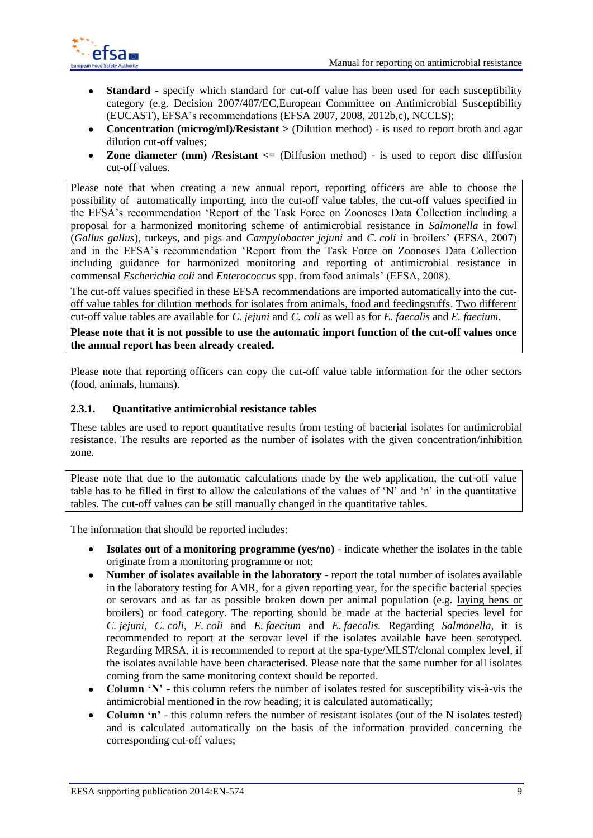

- **Standard** specify which standard for cut-off value has been used for each susceptibility category (e.g. Decision 2007/407/EC,European Committee on Antimicrobial Susceptibility (EUCAST), EFSA's recommendations (EFSA 2007, 2008, 2012b,c), NCCLS);
- **Concentration (microg/ml)/Resistant**  $>$  (Dilution method) is used to report broth and agar dilution cut-off values;
- **Zone diameter (mm) /Resistant <=** (Diffusion method) is used to report disc diffusion  $\bullet$ cut-off values.

Please note that when creating a new annual report, reporting officers are able to choose the possibility of automatically importing, into the cut-off value tables, the cut-off values specified in the EFSA's recommendation 'Report of the Task Force on Zoonoses Data Collection including a proposal for a harmonized monitoring scheme of antimicrobial resistance in *Salmonella* in fowl (*Gallus gallus*), turkeys, and pigs and *Campylobacter jejuni* and *C. coli* in broilers' (EFSA, 2007) and in the EFSA's recommendation 'Report from the Task Force on Zoonoses Data Collection including guidance for harmonized monitoring and reporting of antimicrobial resistance in commensal *Escherichia coli* and *Enterococcus* spp. from food animals' (EFSA, 2008).

The cut-off values specified in these EFSA recommendations are imported automatically into the cutoff value tables for dilution methods for isolates from animals, food and feedingstuffs. Two different cut-off value tables are available for *C. jejuni* and *C. coli* as well as for *E. faecalis* and *E. faecium*.

**Please note that it is not possible to use the automatic import function of the cut-off values once the annual report has been already created.**

Please note that reporting officers can copy the cut-off value table information for the other sectors (food, animals, humans).

# <span id="page-8-0"></span>**2.3.1. Quantitative antimicrobial resistance tables**

These tables are used to report quantitative results from testing of bacterial isolates for antimicrobial resistance. The results are reported as the number of isolates with the given concentration/inhibition zone.

Please note that due to the automatic calculations made by the web application, the cut-off value table has to be filled in first to allow the calculations of the values of 'N' and 'n' in the quantitative tables. The cut-off values can be still manually changed in the quantitative tables.

The information that should be reported includes:

- **Isolates out of a monitoring programme (yes/no)** indicate whether the isolates in the table originate from a monitoring programme or not;
- **Number of isolates available in the laboratory** report the total number of isolates available in the laboratory testing for AMR, for a given reporting year, for the specific bacterial species or serovars and as far as possible broken down per animal population (e.g. laying hens or broilers) or food category. The reporting should be made at the bacterial species level for *C. jejuni*, *C. coli*, *E. coli* and *E. faecium* and *E. faecalis.* Regarding *Salmonella*, it is recommended to report at the serovar level if the isolates available have been serotyped. Regarding MRSA, it is recommended to report at the spa-type/MLST/clonal complex level, if the isolates available have been characterised. Please note that the same number for all isolates coming from the same monitoring context should be reported.
- **Column 'N'** this column refers the number of isolates tested for susceptibility vis-à-vis the antimicrobial mentioned in the row heading; it is calculated automatically;
- $\bullet$ **Column 'n'** - this column refers the number of resistant isolates (out of the N isolates tested) and is calculated automatically on the basis of the information provided concerning the corresponding cut-off values;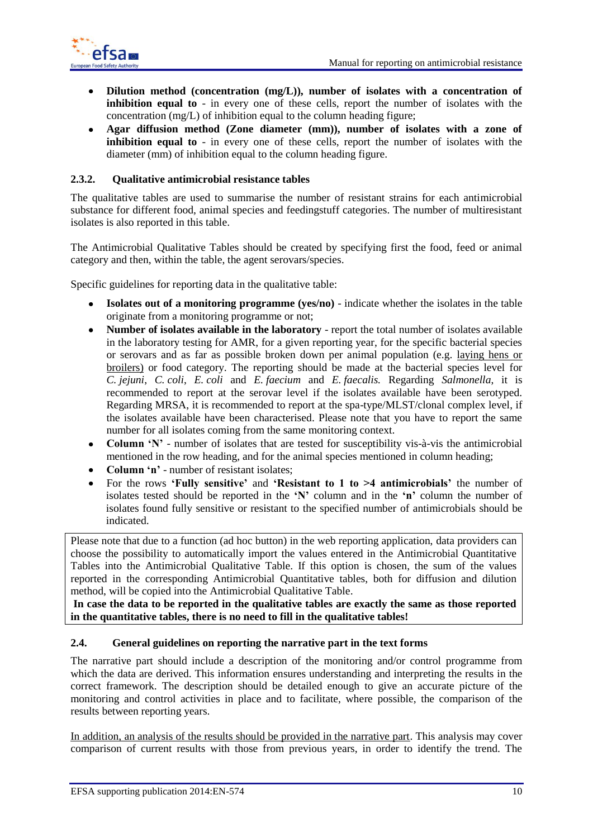

- **Dilution method (concentration (mg/L)), number of isolates with a concentration of inhibition equal to** - in every one of these cells, report the number of isolates with the concentration (mg/L) of inhibition equal to the column heading figure;
- **Agar diffusion method (Zone diameter (mm)), number of isolates with a zone of inhibition equal to** - in every one of these cells, report the number of isolates with the diameter (mm) of inhibition equal to the column heading figure.

# <span id="page-9-0"></span>**2.3.2. Qualitative antimicrobial resistance tables**

The qualitative tables are used to summarise the number of resistant strains for each antimicrobial substance for different food, animal species and feedingstuff categories. The number of multiresistant isolates is also reported in this table.

The Antimicrobial Qualitative Tables should be created by specifying first the food, feed or animal category and then, within the table, the agent serovars/species.

Specific guidelines for reporting data in the qualitative table:

- **Isolates out of a monitoring programme (yes/no)** indicate whether the isolates in the table originate from a monitoring programme or not;
- **Number of isolates available in the laboratory** report the total number of isolates available  $\bullet$ in the laboratory testing for AMR, for a given reporting year, for the specific bacterial species or serovars and as far as possible broken down per animal population (e.g. laying hens or broilers) or food category. The reporting should be made at the bacterial species level for *C. jejuni*, *C. coli*, *E. coli* and *E. faecium* and *E. faecalis.* Regarding *Salmonella*, it is recommended to report at the serovar level if the isolates available have been serotyped. Regarding MRSA, it is recommended to report at the spa-type/MLST/clonal complex level, if the isolates available have been characterised. Please note that you have to report the same number for all isolates coming from the same monitoring context.
- **Column 'N'** number of isolates that are tested for susceptibility vis-à-vis the antimicrobial mentioned in the row heading, and for the animal species mentioned in column heading;
- **Column 'n'** number of resistant isolates;
- For the rows **'Fully sensitive'** and **'Resistant to 1 to >4 antimicrobials'** the number of isolates tested should be reported in the **'N'** column and in the **'n'** column the number of isolates found fully sensitive or resistant to the specified number of antimicrobials should be indicated.

Please note that due to a function (ad hoc button) in the web reporting application, data providers can choose the possibility to automatically import the values entered in the Antimicrobial Quantitative Tables into the Antimicrobial Qualitative Table. If this option is chosen, the sum of the values reported in the corresponding Antimicrobial Quantitative tables, both for diffusion and dilution method, will be copied into the Antimicrobial Qualitative Table.

**In case the data to be reported in the qualitative tables are exactly the same as those reported in the quantitative tables, there is no need to fill in the qualitative tables!**

### <span id="page-9-1"></span>**2.4. General guidelines on reporting the narrative part in the text forms**

The narrative part should include a description of the monitoring and/or control programme from which the data are derived. This information ensures understanding and interpreting the results in the correct framework. The description should be detailed enough to give an accurate picture of the monitoring and control activities in place and to facilitate, where possible, the comparison of the results between reporting years.

In addition, an analysis of the results should be provided in the narrative part. This analysis may cover comparison of current results with those from previous years, in order to identify the trend. The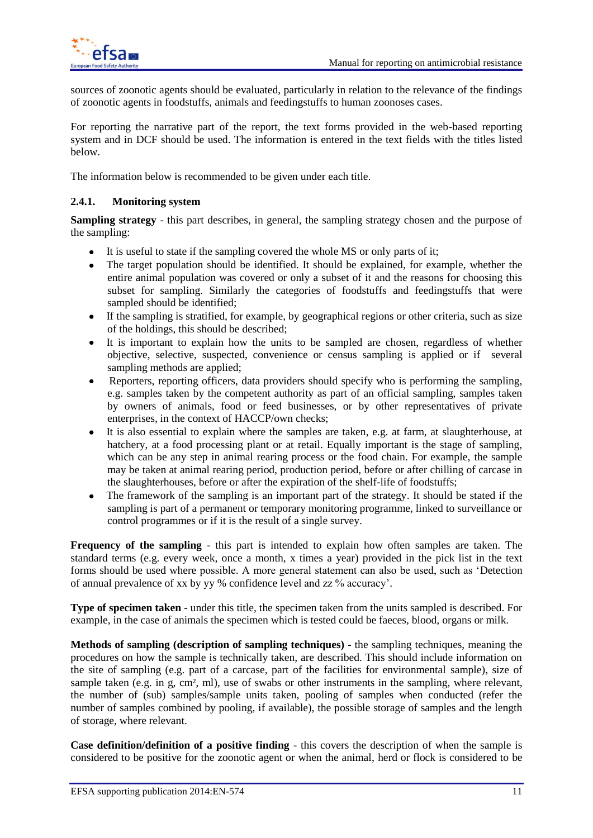

sources of zoonotic agents should be evaluated, particularly in relation to the relevance of the findings of zoonotic agents in foodstuffs, animals and feedingstuffs to human zoonoses cases.

For reporting the narrative part of the report, the text forms provided in the web-based reporting system and in DCF should be used. The information is entered in the text fields with the titles listed below.

The information below is recommended to be given under each title.

# <span id="page-10-0"></span>**2.4.1. Monitoring system**

**Sampling strategy** - this part describes, in general, the sampling strategy chosen and the purpose of the sampling:

- It is useful to state if the sampling covered the whole MS or only parts of it;
- The target population should be identified. It should be explained, for example, whether the entire animal population was covered or only a subset of it and the reasons for choosing this subset for sampling. Similarly the categories of foodstuffs and feedingstuffs that were sampled should be identified;
- $\bullet$ If the sampling is stratified, for example, by geographical regions or other criteria, such as size of the holdings, this should be described;
- It is important to explain how the units to be sampled are chosen, regardless of whether objective, selective, suspected, convenience or census sampling is applied or if several sampling methods are applied;
- Reporters, reporting officers, data providers should specify who is performing the sampling, e.g. samples taken by the competent authority as part of an official sampling, samples taken by owners of animals, food or feed businesses, or by other representatives of private enterprises, in the context of HACCP/own checks;
- It is also essential to explain where the samples are taken, e.g. at farm, at slaughterhouse, at hatchery, at a food processing plant or at retail. Equally important is the stage of sampling, which can be any step in animal rearing process or the food chain. For example, the sample may be taken at animal rearing period, production period, before or after chilling of carcase in the slaughterhouses, before or after the expiration of the shelf-life of foodstuffs;
- The framework of the sampling is an important part of the strategy. It should be stated if the sampling is part of a permanent or temporary monitoring programme, linked to surveillance or control programmes or if it is the result of a single survey.

**Frequency of the sampling** - this part is intended to explain how often samples are taken. The standard terms (e.g. every week, once a month, x times a year) provided in the pick list in the text forms should be used where possible. A more general statement can also be used, such as 'Detection of annual prevalence of xx by yy % confidence level and zz % accuracy'.

**Type of specimen taken** - under this title, the specimen taken from the units sampled is described. For example, in the case of animals the specimen which is tested could be faeces, blood, organs or milk.

**Methods of sampling (description of sampling techniques)** - the sampling techniques, meaning the procedures on how the sample is technically taken, are described. This should include information on the site of sampling (e.g. part of a carcase, part of the facilities for environmental sample), size of sample taken (e.g. in g, cm<sup>2</sup>, ml), use of swabs or other instruments in the sampling, where relevant, the number of (sub) samples/sample units taken, pooling of samples when conducted (refer the number of samples combined by pooling, if available), the possible storage of samples and the length of storage, where relevant.

**Case definition/definition of a positive finding** - this covers the description of when the sample is considered to be positive for the zoonotic agent or when the animal, herd or flock is considered to be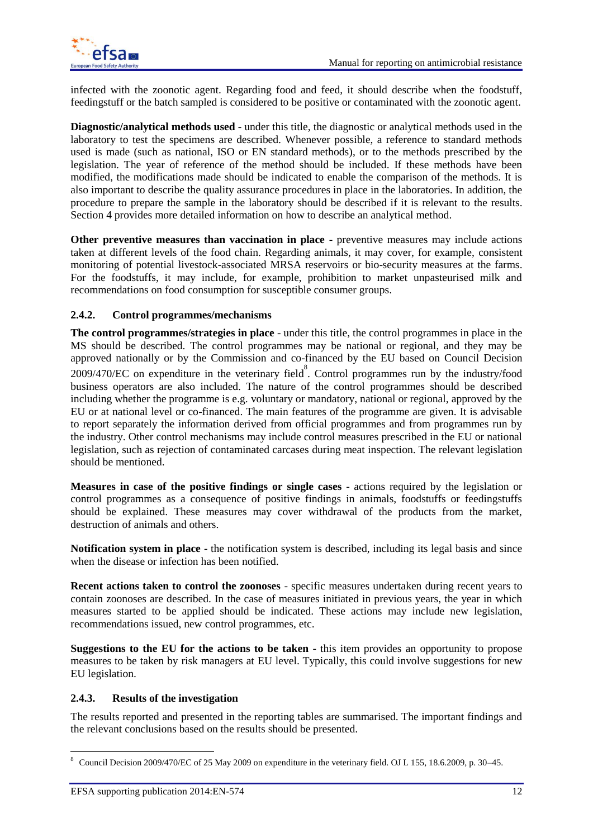

infected with the zoonotic agent. Regarding food and feed, it should describe when the foodstuff, feedingstuff or the batch sampled is considered to be positive or contaminated with the zoonotic agent.

**Diagnostic/analytical methods used** - under this title, the diagnostic or analytical methods used in the laboratory to test the specimens are described. Whenever possible, a reference to standard methods used is made (such as national, ISO or EN standard methods), or to the methods prescribed by the legislation. The year of reference of the method should be included. If these methods have been modified, the modifications made should be indicated to enable the comparison of the methods. It is also important to describe the quality assurance procedures in place in the laboratories. In addition, the procedure to prepare the sample in the laboratory should be described if it is relevant to the results. Section 4 provides more detailed information on how to describe an analytical method.

**Other preventive measures than vaccination in place** - preventive measures may include actions taken at different levels of the food chain. Regarding animals, it may cover, for example, consistent monitoring of potential livestock-associated MRSA reservoirs or bio-security measures at the farms. For the foodstuffs, it may include, for example, prohibition to market unpasteurised milk and recommendations on food consumption for susceptible consumer groups.

# <span id="page-11-0"></span>**2.4.2. Control programmes/mechanisms**

**The control programmes/strategies in place** - under this title, the control programmes in place in the MS should be described. The control programmes may be national or regional, and they may be approved nationally or by the Commission and co-financed by the EU based on Council Decision  $2009/470$ /EC on expenditure in the veterinary field. Control programmes run by the industry/food business operators are also included. The nature of the control programmes should be described including whether the programme is e.g. voluntary or mandatory, national or regional, approved by the EU or at national level or co-financed. The main features of the programme are given. It is advisable to report separately the information derived from official programmes and from programmes run by the industry. Other control mechanisms may include control measures prescribed in the EU or national legislation, such as rejection of contaminated carcases during meat inspection. The relevant legislation should be mentioned.

**Measures in case of the positive findings or single cases** - actions required by the legislation or control programmes as a consequence of positive findings in animals, foodstuffs or feedingstuffs should be explained. These measures may cover withdrawal of the products from the market, destruction of animals and others.

**Notification system in place** - the notification system is described, including its legal basis and since when the disease or infection has been notified.

**Recent actions taken to control the zoonoses** - specific measures undertaken during recent years to contain zoonoses are described. In the case of measures initiated in previous years, the year in which measures started to be applied should be indicated. These actions may include new legislation, recommendations issued, new control programmes, etc.

**Suggestions to the EU for the actions to be taken** - this item provides an opportunity to propose measures to be taken by risk managers at EU level. Typically, this could involve suggestions for new EU legislation.

# <span id="page-11-1"></span>**2.4.3. Results of the investigation**

The results reported and presented in the reporting tables are summarised. The important findings and the relevant conclusions based on the results should be presented.

<sup>8</sup> Council Decision 2009/470/EC of 25 May 2009 on expenditure in the veterinary field. OJ L 155, 18.6.2009, p. 30–45.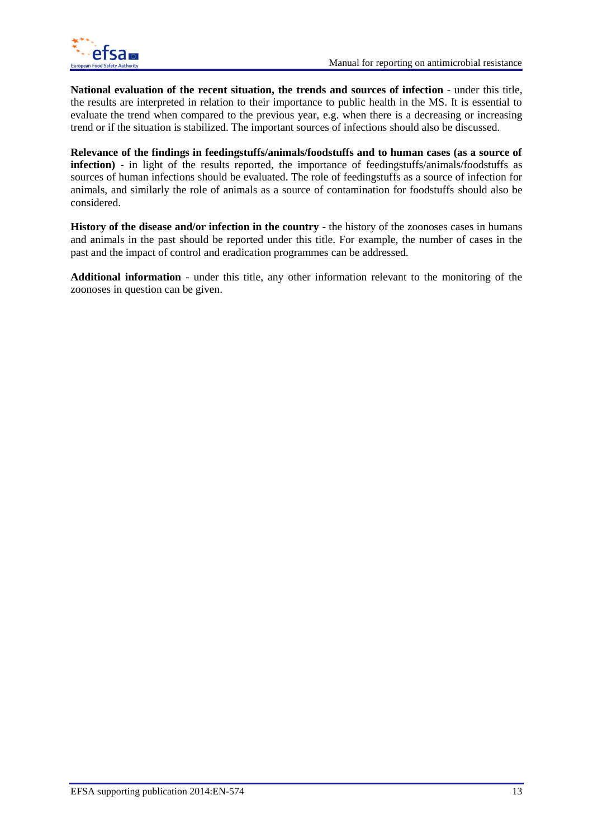**National evaluation of the recent situation, the trends and sources of infection** - under this title, the results are interpreted in relation to their importance to public health in the MS. It is essential to evaluate the trend when compared to the previous year, e.g. when there is a decreasing or increasing trend or if the situation is stabilized. The important sources of infections should also be discussed.

**Relevance of the findings in feedingstuffs/animals/foodstuffs and to human cases (as a source of infection)** - in light of the results reported, the importance of feedingstuffs/animals/foodstuffs as sources of human infections should be evaluated. The role of feedingstuffs as a source of infection for animals, and similarly the role of animals as a source of contamination for foodstuffs should also be considered.

**History of the disease and/or infection in the country** - the history of the zoonoses cases in humans and animals in the past should be reported under this title. For example, the number of cases in the past and the impact of control and eradication programmes can be addressed.

**Additional information** - under this title, any other information relevant to the monitoring of the zoonoses in question can be given.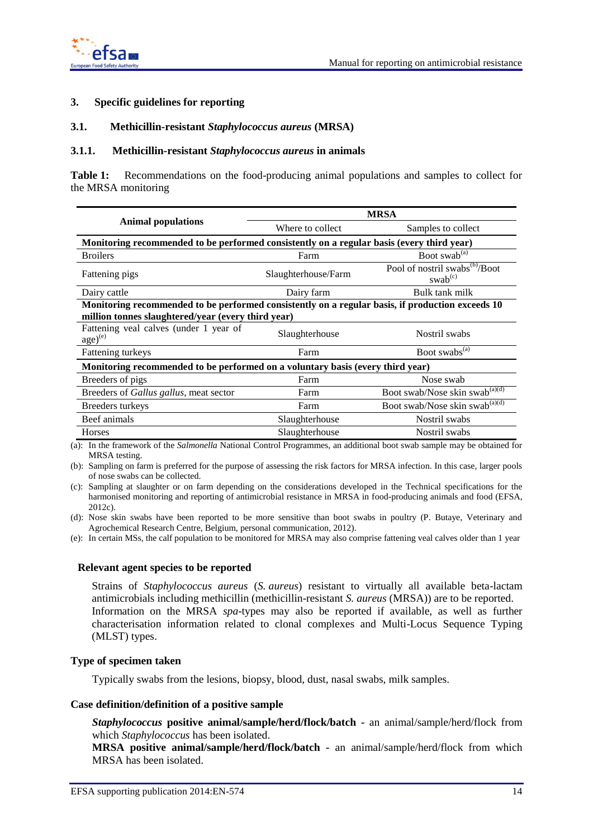



# <span id="page-13-0"></span>**3. Specific guidelines for reporting**

### <span id="page-13-1"></span>**3.1. Methicillin-resistant** *Staphylococcus aureus* **(MRSA)**

#### <span id="page-13-2"></span>**3.1.1. Methicillin-resistant** *Staphylococcus aureus* **in animals**

**Table 1:** Recommendations on the food-producing animal populations and samples to collect for the MRSA monitoring

|                                                                                                  | <b>MRSA</b>         |                                                                   |  |  |  |
|--------------------------------------------------------------------------------------------------|---------------------|-------------------------------------------------------------------|--|--|--|
| <b>Animal populations</b>                                                                        | Where to collect    | Samples to collect                                                |  |  |  |
| Monitoring recommended to be performed consistently on a regular basis (every third year)        |                     |                                                                   |  |  |  |
| <b>Broilers</b>                                                                                  | Farm                | Boot swab <sup>(a)</sup>                                          |  |  |  |
| Fattening pigs                                                                                   | Slaughterhouse/Farm | Pool of nostril swabs <sup>(b)</sup> /Boot<br>swab <sup>(c)</sup> |  |  |  |
| Dairy cattle                                                                                     | Dairy farm          | Bulk tank milk                                                    |  |  |  |
| Monitoring recommended to be performed consistently on a regular basis, if production exceeds 10 |                     |                                                                   |  |  |  |
| million tonnes slaughtered/year (every third year)                                               |                     |                                                                   |  |  |  |
| Fattening veal calves (under 1 year of<br>$\text{age})^{(e)}$                                    | Slaughterhouse      | Nostril swabs                                                     |  |  |  |
| Fattening turkeys                                                                                | Farm                | Boot swabs <sup>(a)</sup>                                         |  |  |  |
| Monitoring recommended to be performed on a voluntary basis (every third year)                   |                     |                                                                   |  |  |  |
| Breeders of pigs                                                                                 | Farm                | Nose swab                                                         |  |  |  |
| Breeders of <i>Gallus gallus</i> , meat sector                                                   | Farm                | Boot swab/Nose skin swab <sup>(a)(d)</sup>                        |  |  |  |
| Breeders turkeys                                                                                 | Farm                | Boot swab/Nose skin swab <sup>(a)(d)</sup>                        |  |  |  |
| Beef animals                                                                                     | Slaughterhouse      | Nostril swabs                                                     |  |  |  |
| Horses                                                                                           | Slaughterhouse      | Nostril swabs                                                     |  |  |  |

(a): In the framework of the *Salmonella* National Control Programmes, an additional boot swab sample may be obtained for MRSA testing.

(b): Sampling on farm is preferred for the purpose of assessing the risk factors for MRSA infection. In this case, larger pools of nose swabs can be collected.

(c): Sampling at slaughter or on farm depending on the considerations developed in the Technical specifications for the harmonised monitoring and reporting of antimicrobial resistance in MRSA in food-producing animals and food (EFSA, 2012c).

(d): Nose skin swabs have been reported to be more sensitive than boot swabs in poultry (P. Butaye, Veterinary and Agrochemical Research Centre, Belgium, personal communication, 2012).

(e): In certain MSs, the calf population to be monitored for MRSA may also comprise fattening veal calves older than 1 year

### **Relevant agent species to be reported**

Strains of *Staphylococcus aureus* (*S. aureus*) resistant to virtually all available beta-lactam antimicrobials including methicillin (methicillin-resistant *S. aureus* (MRSA)) are to be reported. Information on the MRSA *spa*-types may also be reported if available, as well as further characterisation information related to clonal complexes and Multi-Locus Sequence Typing (MLST) types.

#### **Type of specimen taken**

Typically swabs from the lesions, biopsy, blood, dust, nasal swabs, milk samples.

#### **Case definition/definition of a positive sample**

*Staphylococcus* **positive animal/sample/herd/flock/batch** *-* an animal/sample/herd/flock from which *Staphylococcus* has been isolated.

**MRSA positive animal/sample/herd/flock/batch** *-* an animal/sample/herd/flock from which MRSA has been isolated.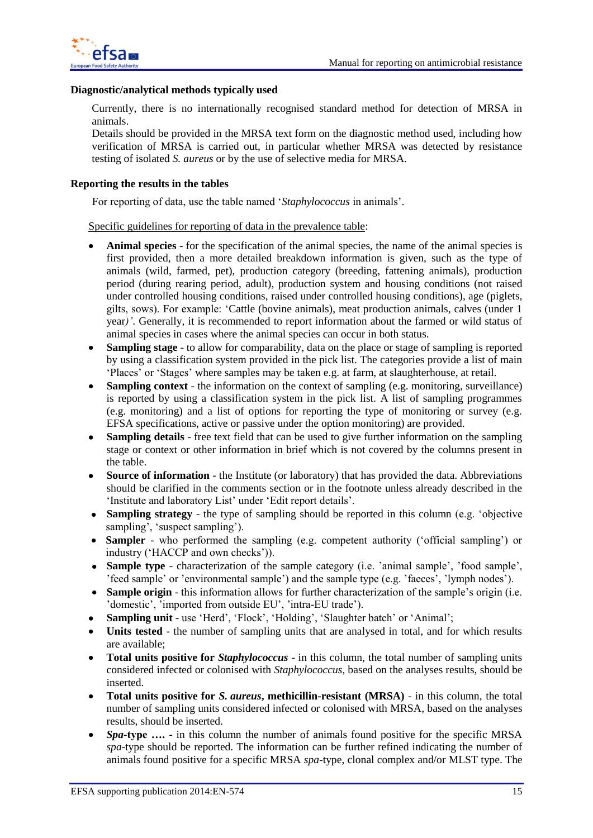

# **Diagnostic/analytical methods typically used**

Currently, there is no internationally recognised standard method for detection of MRSA in animals.

Details should be provided in the MRSA text form on the diagnostic method used, including how verification of MRSA is carried out, in particular whether MRSA was detected by resistance testing of isolated *S. aureus* or by the use of selective media for MRSA.

# **Reporting the results in the tables**

For reporting of data, use the table named '*Staphylococcus* in animals'.

Specific guidelines for reporting of data in the prevalence table:

- **Animal species** for the specification of the animal species, the name of the animal species is first provided, then a more detailed breakdown information is given, such as the type of animals (wild, farmed, pet), production category (breeding, fattening animals), production period (during rearing period, adult), production system and housing conditions (not raised under controlled housing conditions, raised under controlled housing conditions), age (piglets, gilts, sows). For example: 'Cattle (bovine animals), meat production animals, calves (under 1 year*)'*. Generally, it is recommended to report information about the farmed or wild status of animal species in cases where the animal species can occur in both status.
- **Sampling stage** to allow for comparability, data on the place or stage of sampling is reported by using a classification system provided in the pick list. The categories provide a list of main 'Places' or 'Stages' where samples may be taken e.g. at farm, at slaughterhouse, at retail.
- **Sampling context** the information on the context of sampling (e.g. monitoring, surveillance)  $\bullet$ is reported by using a classification system in the pick list. A list of sampling programmes (e.g. monitoring) and a list of options for reporting the type of monitoring or survey (e.g. EFSA specifications, active or passive under the option monitoring) are provided.
- **Sampling details** free text field that can be used to give further information on the sampling stage or context or other information in brief which is not covered by the columns present in the table.
- **Source of information** the Institute (or laboratory) that has provided the data. Abbreviations  $\bullet$ should be clarified in the comments section or in the footnote unless already described in the 'Institute and laboratory List' under 'Edit report details'.
- **Sampling strategy** the type of sampling should be reported in this column (e.g. 'objective  $\bullet$ sampling', 'suspect sampling').
- $\bullet$ **Sampler** - who performed the sampling (e.g. competent authority ('official sampling') or industry ('HACCP and own checks')).
- **Sample type** characterization of the sample category (i.e. 'animal sample', 'food sample', 'feed sample' or 'environmental sample') and the sample type (e.g. 'faeces', 'lymph nodes').
- **Sample origin** this information allows for further characterization of the sample's origin (i.e. 'domestic', 'imported from outside EU', 'intra-EU trade').
- **Sampling unit** use 'Herd', 'Flock', 'Holding', 'Slaughter batch' or 'Animal';
- **Units tested** the number of sampling units that are analysed in total, and for which results are available;
- **Total units positive for** *Staphylococcus* in this column, the total number of sampling units considered infected or colonised with *Staphylococcus,* based on the analyses results, should be inserted.
- **Total units positive for** *S. aureus***, methicillin-resistant (MRSA)** in this column, the total number of sampling units considered infected or colonised with MRSA*,* based on the analyses results, should be inserted.
- **Spa-type** .... in this column the number of animals found positive for the specific MRSA *spa*-type should be reported. The information can be further refined indicating the number of animals found positive for a specific MRSA *spa-*type, clonal complex and/or MLST type. The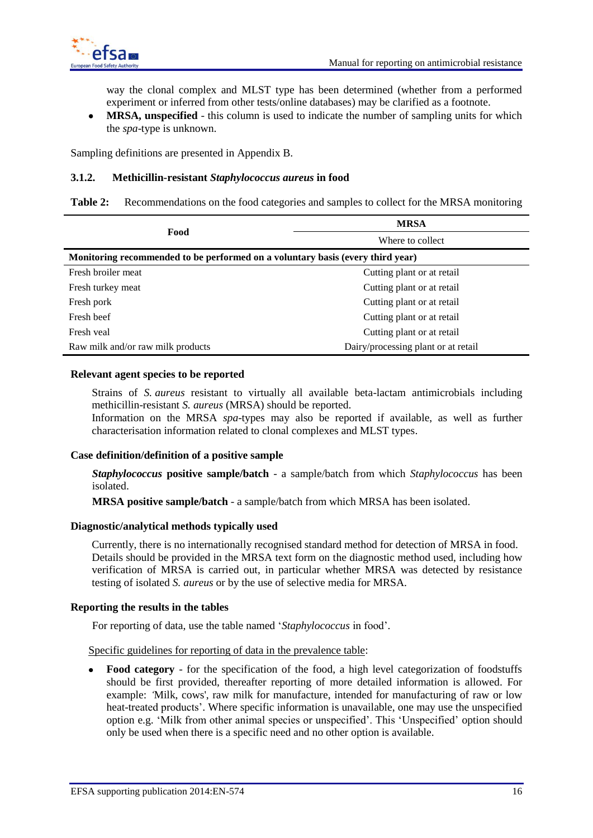

way the clonal complex and MLST type has been determined (whether from a performed experiment or inferred from other tests/online databases) may be clarified as a footnote.

**MRSA, unspecified** - this column is used to indicate the number of sampling units for which the *spa*-type is unknown.

Sampling definitions are presented in Appendix B.

### <span id="page-15-0"></span>**3.1.2. Methicillin-resistant** *Staphylococcus aureus* **in food**

#### **Table 2:** Recommendations on the food categories and samples to collect for the MRSA monitoring

|                                                                                | <b>MRSA</b>                         |  |  |
|--------------------------------------------------------------------------------|-------------------------------------|--|--|
| Food                                                                           | Where to collect                    |  |  |
| Monitoring recommended to be performed on a voluntary basis (every third year) |                                     |  |  |
| Fresh broiler meat                                                             | Cutting plant or at retail          |  |  |
| Fresh turkey meat                                                              | Cutting plant or at retail          |  |  |
| Fresh pork                                                                     | Cutting plant or at retail          |  |  |
| Fresh beef                                                                     | Cutting plant or at retail          |  |  |
| Fresh yeal                                                                     | Cutting plant or at retail          |  |  |
| Raw milk and/or raw milk products                                              | Dairy/processing plant or at retail |  |  |

# **Relevant agent species to be reported**

Strains of *S. aureus* resistant to virtually all available beta-lactam antimicrobials including methicillin-resistant *S. aureus* (MRSA) should be reported.

Information on the MRSA *spa*-types may also be reported if available, as well as further characterisation information related to clonal complexes and MLST types.

#### **Case definition/definition of a positive sample**

*Staphylococcus* **positive sample/batch** - a sample/batch from which *Staphylococcus* has been isolated.

**MRSA positive sample/batch** - a sample/batch from which MRSA has been isolated.

#### **Diagnostic/analytical methods typically used**

Currently, there is no internationally recognised standard method for detection of MRSA in food. Details should be provided in the MRSA text form on the diagnostic method used, including how verification of MRSA is carried out, in particular whether MRSA was detected by resistance testing of isolated *S. aureus* or by the use of selective media for MRSA.

#### **Reporting the results in the tables**

For reporting of data, use the table named '*Staphylococcus* in food'.

#### Specific guidelines for reporting of data in the prevalence table:

**Food category** - for the specification of the food, a high level categorization of foodstuffs  $\bullet$ should be first provided, thereafter reporting of more detailed information is allowed. For example: *'*Milk, cows', raw milk for manufacture, intended for manufacturing of raw or low heat-treated products'. Where specific information is unavailable, one may use the unspecified option e.g. 'Milk from other animal species or unspecified'. This 'Unspecified' option should only be used when there is a specific need and no other option is available.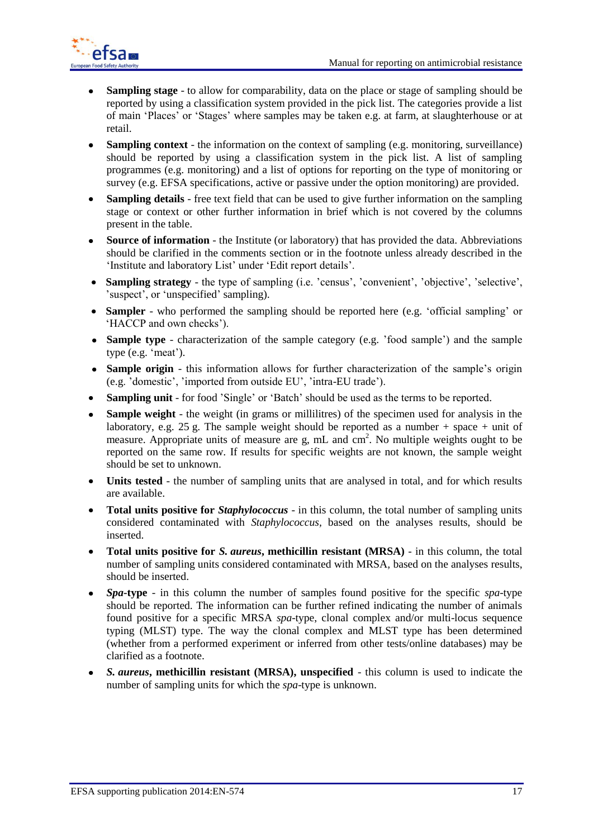

- **Sampling stage** to allow for comparability, data on the place or stage of sampling should be reported by using a classification system provided in the pick list. The categories provide a list of main 'Places' or 'Stages' where samples may be taken e.g. at farm, at slaughterhouse or at retail.
- **Sampling context** the information on the context of sampling (e.g. monitoring, surveillance) should be reported by using a classification system in the pick list. A list of sampling programmes (e.g. monitoring) and a list of options for reporting on the type of monitoring or survey (e.g. EFSA specifications, active or passive under the option monitoring) are provided.
- **Sampling details** free text field that can be used to give further information on the sampling stage or context or other further information in brief which is not covered by the columns present in the table.
- **Source of information** the Institute (or laboratory) that has provided the data. Abbreviations  $\bullet$ should be clarified in the comments section or in the footnote unless already described in the 'Institute and laboratory List' under 'Edit report details'.
- **Sampling strategy** the type of sampling (i.e. 'census', 'convenient', 'objective', 'selective',  $\bullet$ 'suspect', or 'unspecified' sampling).
- **Sampler** who performed the sampling should be reported here (e.g. 'official sampling' or 'HACCP and own checks').
- **Sample type** characterization of the sample category (e.g. 'food sample') and the sample type (e.g. 'meat').
- **Sample origin** this information allows for further characterization of the sample's origin (e.g. 'domestic', 'imported from outside EU', 'intra-EU trade').
- **Sampling unit** for food 'Single' or 'Batch' should be used as the terms to be reported.
- **Sample weight** the weight (in grams or millilitres) of the specimen used for analysis in the laboratory, e.g. 25 g. The sample weight should be reported as a number  $+$  space  $+$  unit of measure. Appropriate units of measure are g, mL and cm<sup>2</sup>. No multiple weights ought to be reported on the same row. If results for specific weights are not known, the sample weight should be set to unknown.
- **Units tested** the number of sampling units that are analysed in total, and for which results are available.
- **Total units positive for** *Staphylococcus* in this column, the total number of sampling units  $\bullet$ considered contaminated with *Staphylococcus,* based on the analyses results, should be inserted.
- **Total units positive for** *S. aureus***, methicillin resistant (MRSA)** in this column, the total  $\bullet$ number of sampling units considered contaminated with MRSA*,* based on the analyses results, should be inserted.
- *Spa***-type** in this column the number of samples found positive for the specific *spa*-type should be reported. The information can be further refined indicating the number of animals found positive for a specific MRSA *spa*-type, clonal complex and/or multi-locus sequence typing (MLST) type. The way the clonal complex and MLST type has been determined (whether from a performed experiment or inferred from other tests/online databases) may be clarified as a footnote.
- *S. aureus***, methicillin resistant (MRSA), unspecified** this column is used to indicate the number of sampling units for which the *spa*-type is unknown.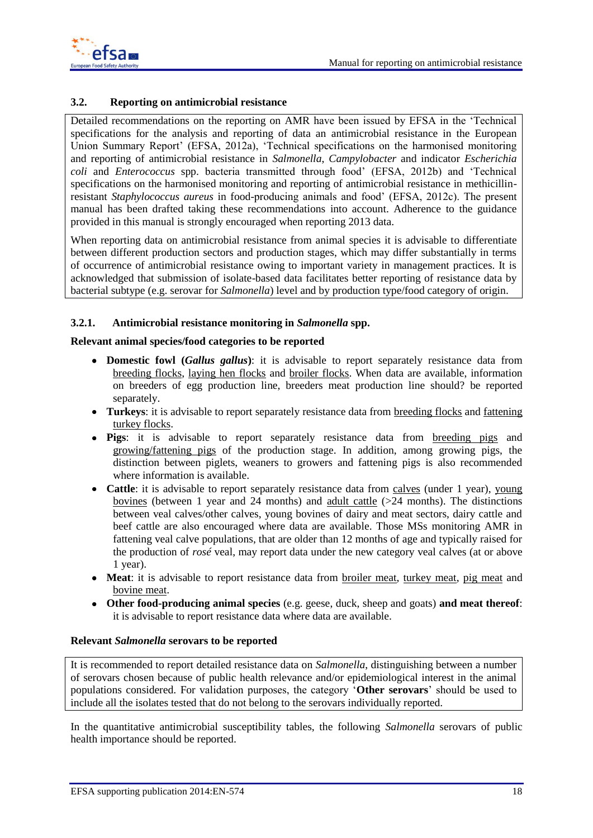

# <span id="page-17-0"></span>**3.2. Reporting on antimicrobial resistance**

Detailed recommendations on the reporting on AMR have been issued by EFSA in the 'Technical specifications for the analysis and reporting of data an antimicrobial resistance in the European Union Summary Report' (EFSA, 2012a), 'Technical specifications on the harmonised monitoring and reporting of antimicrobial resistance in *Salmonella*, *Campylobacter* and indicator *Escherichia coli* and *Enterococcus* spp. bacteria transmitted through food' (EFSA, 2012b) and 'Technical specifications on the harmonised monitoring and reporting of antimicrobial resistance in methicillinresistant *Staphylococcus aureus* in food-producing animals and food' (EFSA, 2012c). The present manual has been drafted taking these recommendations into account. Adherence to the guidance provided in this manual is strongly encouraged when reporting 2013 data.

When reporting data on antimicrobial resistance from animal species it is advisable to differentiate between different production sectors and production stages, which may differ substantially in terms of occurrence of antimicrobial resistance owing to important variety in management practices. It is acknowledged that submission of isolate-based data facilitates better reporting of resistance data by bacterial subtype (e.g. serovar for *Salmonella*) level and by production type/food category of origin.

## <span id="page-17-1"></span>**3.2.1. Antimicrobial resistance monitoring in** *Salmonella* **spp.**

### **Relevant animal species/food categories to be reported**

- **Domestic fowl (***Gallus gallus***)**: it is advisable to report separately resistance data from breeding flocks, laying hen flocks and broiler flocks. When data are available, information on breeders of egg production line, breeders meat production line should? be reported separately.
- **Turkeys**: it is advisable to report separately resistance data from breeding flocks and fattening turkey flocks.
- **Pigs**: it is advisable to report separately resistance data from breeding pigs and growing/fattening pigs of the production stage. In addition, among growing pigs, the distinction between piglets, weaners to growers and fattening pigs is also recommended where information is available.
- **Cattle**: it is advisable to report separately resistance data from calves (under 1 year), young bovines (between 1 year and 24 months) and adult cattle  $(>=24 \text{ months})$ . The distinctions between veal calves/other calves, young bovines of dairy and meat sectors, dairy cattle and beef cattle are also encouraged where data are available. Those MSs monitoring AMR in fattening veal calve populations, that are older than 12 months of age and typically raised for the production of *rosé* veal, may report data under the new category veal calves (at or above 1 year).
- **Meat**: it is advisable to report resistance data from broiler meat, turkey meat, pig meat and bovine meat.
- **Other food-producing animal species** (e.g. geese, duck, sheep and goats) **and meat thereof**: it is advisable to report resistance data where data are available.

### **Relevant** *Salmonella* **serovars to be reported**

It is recommended to report detailed resistance data on *Salmonella*, distinguishing between a number of serovars chosen because of public health relevance and/or epidemiological interest in the animal populations considered. For validation purposes, the category '**Other serovars**' should be used to include all the isolates tested that do not belong to the serovars individually reported.

In the quantitative antimicrobial susceptibility tables, the following *Salmonella* serovars of public health importance should be reported.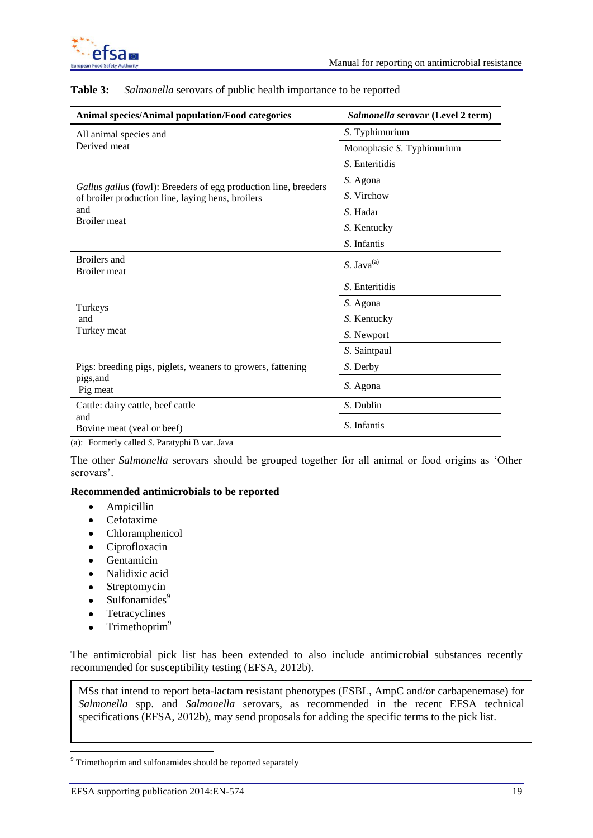

| <b>Animal species/Animal population/Food categories</b>         | Salmonella serovar (Level 2 term) |  |  |
|-----------------------------------------------------------------|-----------------------------------|--|--|
| All animal species and                                          | S. Typhimurium                    |  |  |
| Derived meat                                                    | Monophasic S. Typhimurium         |  |  |
|                                                                 | S. Enteritidis                    |  |  |
| Gallus gallus (fowl): Breeders of egg production line, breeders | S. Agona                          |  |  |
| of broiler production line, laying hens, broilers               | S. Virchow                        |  |  |
| and                                                             | S. Hadar                          |  |  |
| <b>Broiler</b> meat                                             | S. Kentucky                       |  |  |
|                                                                 | S. Infantis                       |  |  |
| Broilers and<br><b>Broiler</b> meat                             | $S.$ Java $(a)$                   |  |  |
|                                                                 | S. Enteritidis                    |  |  |
| Turkeys                                                         | S. Agona                          |  |  |
| and                                                             | S. Kentucky                       |  |  |
| Turkey meat                                                     | S. Newport                        |  |  |
|                                                                 | S. Saintpaul                      |  |  |
| Pigs: breeding pigs, piglets, weaners to growers, fattening     | S. Derby                          |  |  |
| pigs, and<br>Pig meat                                           | S. Agona                          |  |  |
| Cattle: dairy cattle, beef cattle                               | S. Dublin                         |  |  |
| and<br>Bovine meat (yeal or beef)                               | S. Infantis                       |  |  |

### **Table 3:** *Salmonella* serovars of public health importance to be reported

(a): Formerly called *S*. Paratyphi B var. Java

The other *Salmonella* serovars should be grouped together for all animal or food origins as 'Other serovars'.

### **Recommended antimicrobials to be reported**

- Ampicillin  $\bullet$
- Cefotaxime  $\bullet$
- Chloramphenicol  $\bullet$
- Ciprofloxacin
- Gentamicin
- Nalidixic acid  $\bullet$
- Streptomycin  $\bullet$
- Sulfonamides<sup>9</sup>  $\bullet$
- Tetracyclines  $\bullet$
- Trimethoprim<sup>9</sup>  $\bullet$

l

The antimicrobial pick list has been extended to also include antimicrobial substances recently recommended for susceptibility testing (EFSA, 2012b).

MSs that intend to report beta-lactam resistant phenotypes (ESBL, AmpC and/or carbapenemase) for *Salmonella* spp. and *Salmonella* serovars, as recommended in the recent EFSA technical specifications (EFSA, 2012b), may send proposals for adding the specific terms to the pick list.

<sup>&</sup>lt;sup>9</sup> Trimethoprim and sulfonamides should be reported separately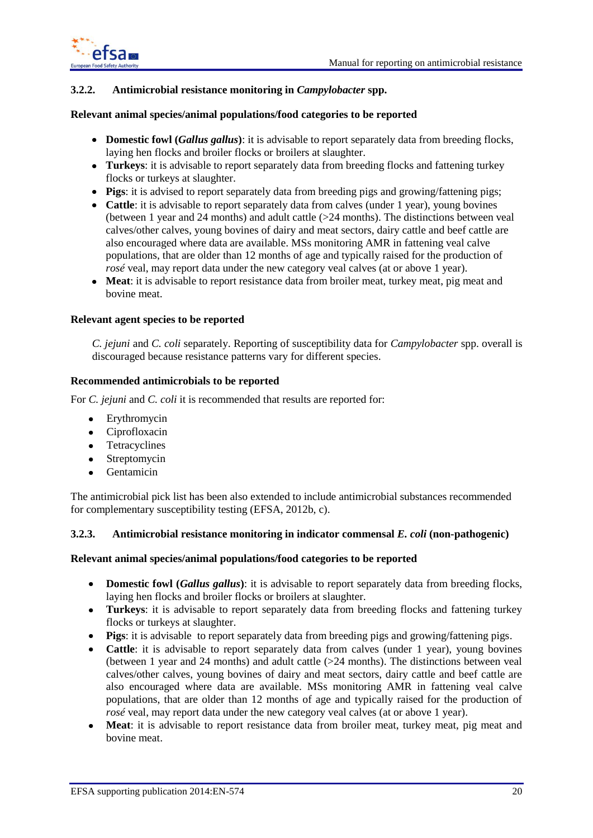

# <span id="page-19-0"></span>**3.2.2. Antimicrobial resistance monitoring in** *Campylobacter* **spp.**

# **Relevant animal species/animal populations/food categories to be reported**

- Domestic fowl (*Gallus gallus*): it is advisable to report separately data from breeding flocks, laying hen flocks and broiler flocks or broilers at slaughter.
- **Turkeys**: it is advisable to report separately data from breeding flocks and fattening turkey flocks or turkeys at slaughter.
- Pigs: it is advised to report separately data from breeding pigs and growing/fattening pigs;
- **Cattle**: it is advisable to report separately data from calves (under 1 year), young bovines (between 1 year and 24 months) and adult cattle (>24 months). The distinctions between veal calves/other calves, young bovines of dairy and meat sectors, dairy cattle and beef cattle are also encouraged where data are available. MSs monitoring AMR in fattening veal calve populations, that are older than 12 months of age and typically raised for the production of *rosé* veal, may report data under the new category veal calves (at or above 1 year).
- **Meat**: it is advisable to report resistance data from broiler meat, turkey meat, pig meat and bovine meat.

### **Relevant agent species to be reported**

*C. jejuni* and *C. coli* separately. Reporting of susceptibility data for *Campylobacter* spp. overall is discouraged because resistance patterns vary for different species.

### **Recommended antimicrobials to be reported**

For *C. jejuni* and *C. coli* it is recommended that results are reported for:

- Erythromycin
- Ciprofloxacin
- Tetracyclines
- Streptomycin
- Gentamicin

The antimicrobial pick list has been also extended to include antimicrobial substances recommended for complementary susceptibility testing (EFSA, 2012b, c).

### <span id="page-19-1"></span>**3.2.3. Antimicrobial resistance monitoring in indicator commensal** *E. coli* **(non-pathogenic)**

### **Relevant animal species/animal populations/food categories to be reported**

- Domestic fowl (*Gallus gallus*): it is advisable to report separately data from breeding flocks, laying hen flocks and broiler flocks or broilers at slaughter.
- **Turkeys**: it is advisable to report separately data from breeding flocks and fattening turkey flocks or turkeys at slaughter.
- **Pigs**: it is advisable to report separately data from breeding pigs and growing/fattening pigs.
- **Cattle**: it is advisable to report separately data from calves (under 1 year), young bovines (between 1 year and 24 months) and adult cattle  $(>24$  months). The distinctions between yeal calves/other calves, young bovines of dairy and meat sectors, dairy cattle and beef cattle are also encouraged where data are available. MSs monitoring AMR in fattening veal calve populations, that are older than 12 months of age and typically raised for the production of *rosé* veal, may report data under the new category veal calves (at or above 1 year).
- **Meat**: it is advisable to report resistance data from broiler meat, turkey meat, pig meat and bovine meat.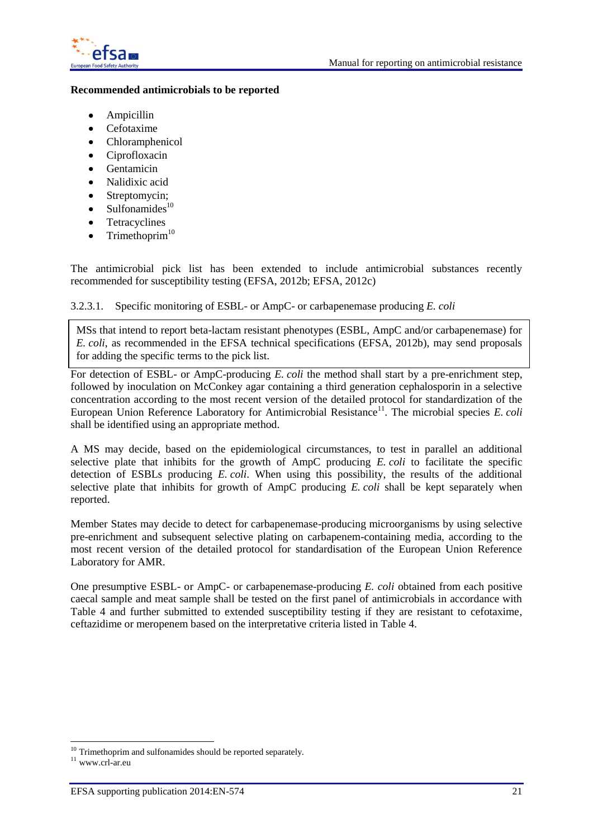

### **Recommended antimicrobials to be reported**

- Ampicillin
- Cefotaxime  $\bullet$
- $\bullet$ Chloramphenicol
- Ciprofloxacin  $\bullet$
- Gentamicin  $\bullet$
- Nalidixic acid  $\bullet$
- Streptomycin;  $\bullet$
- Sulfonamides<sup>10</sup>  $\bullet$
- Tetracyclines  $\bullet$
- $T$ rimethoprim $10$  $\bullet$

The antimicrobial pick list has been extended to include antimicrobial substances recently recommended for susceptibility testing (EFSA, 2012b; EFSA, 2012c)

# <span id="page-20-0"></span>3.2.3.1. Specific monitoring of ESBL- or AmpC- or carbapenemase producing *E. coli*

MSs that intend to report beta-lactam resistant phenotypes (ESBL, AmpC and/or carbapenemase) for *E. coli*, as recommended in the EFSA technical specifications (EFSA, 2012b), may send proposals for adding the specific terms to the pick list.

For detection of ESBL- or AmpC-producing *E. coli* the method shall start by a pre-enrichment step, followed by inoculation on McConkey agar containing a third generation cephalosporin in a selective concentration according to the most recent version of the detailed protocol for standardization of the European Union Reference Laboratory for Antimicrobial Resistance<sup>11</sup>. The microbial species *E. coli* shall be identified using an appropriate method.

A MS may decide, based on the epidemiological circumstances, to test in parallel an additional selective plate that inhibits for the growth of AmpC producing *E. coli* to facilitate the specific detection of ESBLs producing *E. coli*. When using this possibility, the results of the additional selective plate that inhibits for growth of AmpC producing *E. coli* shall be kept separately when reported.

Member States may decide to detect for carbapenemase-producing microorganisms by using selective pre-enrichment and subsequent selective plating on carbapenem-containing media, according to the most recent version of the detailed protocol for standardisation of the European Union Reference Laboratory for AMR.

One presumptive ESBL- or AmpC- or carbapenemase-producing *E. coli* obtained from each positive caecal sample and meat sample shall be tested on the first panel of antimicrobials in accordance with Table 4 and further submitted to extended susceptibility testing if they are resistant to cefotaxime, ceftazidime or meropenem based on the interpretative criteria listed in Table 4.

 $10$  Trimethoprim and sulfonamides should be reported separately.

<sup>&</sup>lt;sup>11</sup> www.crl-ar.eu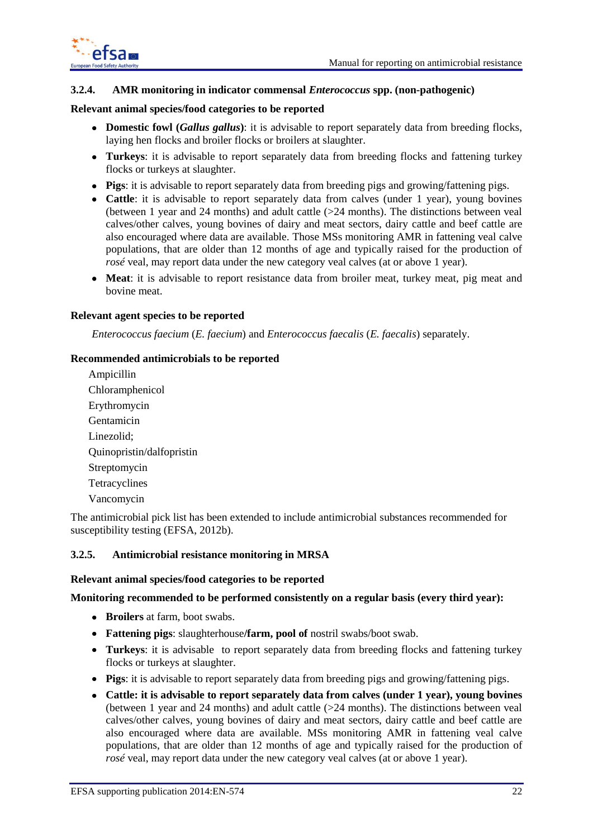

# <span id="page-21-0"></span>**3.2.4. AMR monitoring in indicator commensal** *Enterococcus* **spp. (non-pathogenic)**

### **Relevant animal species/food categories to be reported**

- **Domestic fowl (***Gallus gallus***)**: it is advisable to report separately data from breeding flocks, laying hen flocks and broiler flocks or broilers at slaughter.
- **Turkeys**: it is advisable to report separately data from breeding flocks and fattening turkey flocks or turkeys at slaughter.
- **Pigs**: it is advisable to report separately data from breeding pigs and growing/fattening pigs.
- **Cattle**: it is advisable to report separately data from calves (under 1 year), young bovines (between 1 year and 24 months) and adult cattle (>24 months). The distinctions between veal calves/other calves, young bovines of dairy and meat sectors, dairy cattle and beef cattle are also encouraged where data are available. Those MSs monitoring AMR in fattening veal calve populations, that are older than 12 months of age and typically raised for the production of *rosé* veal, may report data under the new category veal calves (at or above 1 year).
- **Meat**: it is advisable to report resistance data from broiler meat, turkey meat, pig meat and bovine meat.

### **Relevant agent species to be reported**

*Enterococcus faecium* (*E. faecium*) and *Enterococcus faecalis* (*E. faecalis*) separately.

### **Recommended antimicrobials to be reported**

Ampicillin Chloramphenicol Erythromycin Gentamicin Linezolid; Quinopristin/dalfopristin Streptomycin Tetracyclines Vancomycin

The antimicrobial pick list has been extended to include antimicrobial substances recommended for susceptibility testing (EFSA, 2012b).

### <span id="page-21-1"></span>**3.2.5. Antimicrobial resistance monitoring in MRSA**

#### **Relevant animal species/food categories to be reported**

**Monitoring recommended to be performed consistently on a regular basis (every third year):**

- **Broilers** at farm, boot swabs.
- **Fattening pigs**: slaughterhouse**/farm, pool of** nostril swabs/boot swab.
- **Turkeys**: it is advisable to report separately data from breeding flocks and fattening turkey flocks or turkeys at slaughter.
- **Pigs**: it is advisable to report separately data from breeding pigs and growing/fattening pigs.
- **Cattle: it is advisable to report separately data from calves (under 1 year), young bovines** (between 1 year and 24 months) and adult cattle (>24 months). The distinctions between veal calves/other calves, young bovines of dairy and meat sectors, dairy cattle and beef cattle are also encouraged where data are available. MSs monitoring AMR in fattening veal calve populations, that are older than 12 months of age and typically raised for the production of *rosé* veal, may report data under the new category veal calves (at or above 1 year).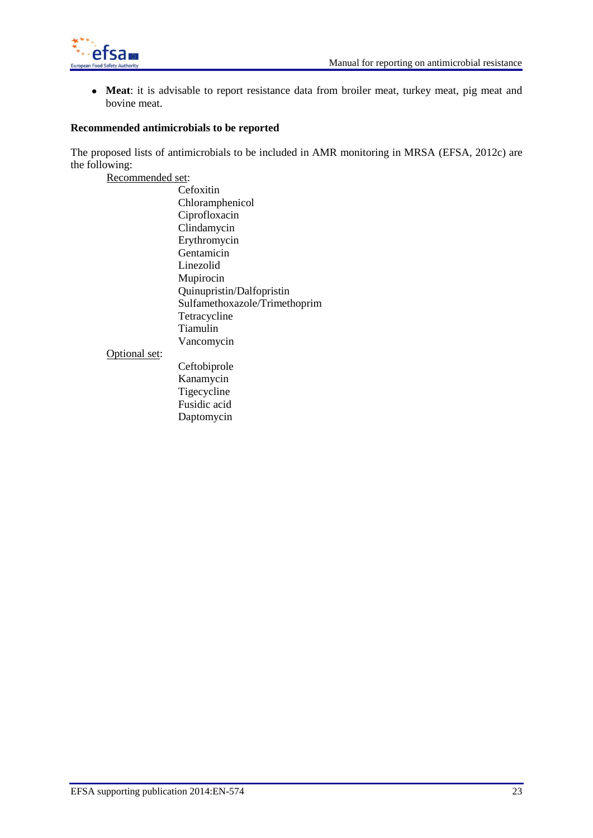

**Meat**: it is advisable to report resistance data from broiler meat, turkey meat, pig meat and bovine meat.

# **Recommended antimicrobials to be reported**

The proposed lists of antimicrobials to be included in AMR monitoring in MRSA (EFSA, 2012c) are the following:

Recommended set:

Cefoxitin Chloramphenicol Ciprofloxacin Clindamycin Erythromycin **Gentamicin** Linezolid Mupirocin Quinupristin/Dalfopristin Sulfamethoxazole/Trimethoprim Tetracycline Tiamulin Vancomycin

Optional set:

Ceftobiprole Kanamycin Tigecycline Fusidic acid Daptomycin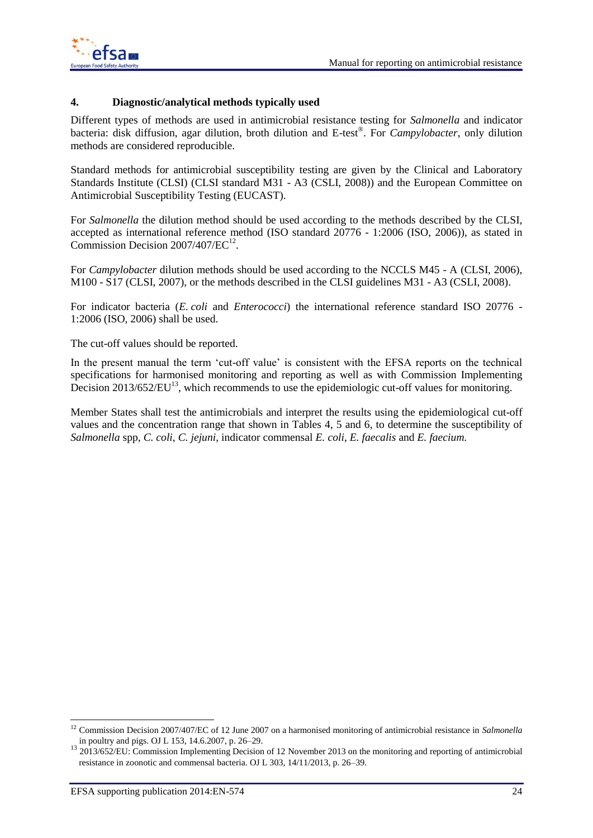

# <span id="page-23-0"></span>**4. Diagnostic/analytical methods typically used**

Different types of methods are used in antimicrobial resistance testing for *Salmonella* and indicator bacteria: disk diffusion, agar dilution, broth dilution and E-test® . For *Campylobacter*, only dilution methods are considered reproducible.

Standard methods for antimicrobial susceptibility testing are given by the Clinical and Laboratory Standards Institute (CLSI) (CLSI standard M31 - A3 (CSLI, 2008)) and the European Committee on Antimicrobial Susceptibility Testing (EUCAST).

For *Salmonella* the dilution method should be used according to the methods described by the CLSI, accepted as international reference method (ISO standard 20776 - 1:2006 (ISO, 2006)), as stated in Commission Decision  $2007/407/EC^{12}$ .

For *Campylobacter* dilution methods should be used according to the NCCLS M45 - A (CLSI, 2006), M100 - S17 (CLSI, 2007), or the methods described in the CLSI guidelines M31 - A3 (CSLI, 2008).

For indicator bacteria (*E. coli* and *Enterococci*) the international reference standard ISO 20776 - 1:2006 (ISO, 2006) shall be used.

The cut-off values should be reported.

In the present manual the term 'cut-off value' is consistent with the EFSA reports on the technical specifications for harmonised monitoring and reporting as well as with Commission Implementing Decision  $2013/652/EU^{13}$ , which recommends to use the epidemiologic cut-off values for monitoring.

Member States shall test the antimicrobials and interpret the results using the epidemiological cut-off values and the concentration range that shown in Tables 4, 5 and 6, to determine the susceptibility of *Salmonella* spp, *C. coli*, *C. jejuni*, indicator commensal *E. coli*, *E. faecalis* and *E. faecium.*

 $\overline{\phantom{a}}$ 

<sup>12</sup> Commission Decision 2007/407/EC of 12 June 2007 on a harmonised monitoring of antimicrobial resistance in *Salmonella* in poultry and pigs. OJ L 153, 14.6.2007, p. 26–29.

<sup>&</sup>lt;sup>13</sup> 2013/652/EU: Commission Implementing Decision of 12 November 2013 on the monitoring and reporting of antimicrobial resistance in zoonotic and commensal bacteria. OJ L 303, 14/11/2013, p. 26–39.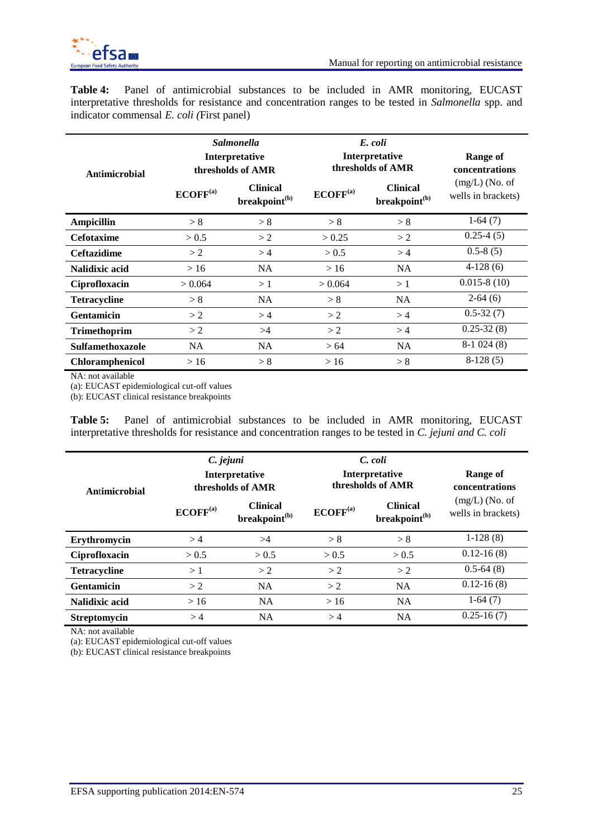

**Table 4:** Panel of antimicrobial substances to be included in AMR monitoring, EUCAST interpretative thresholds for resistance and concentration ranges to be tested in *Salmonella* spp. and indicator commensal *E. coli (*First panel)

| Antimicrobial           | <b>Salmonella</b><br>Interpretative<br>thresholds of AMR |                                              | E. coli<br>Interpretative<br>thresholds of AMR |                                              | <b>Range of</b><br>concentrations      |
|-------------------------|----------------------------------------------------------|----------------------------------------------|------------------------------------------------|----------------------------------------------|----------------------------------------|
|                         | $\mathbf{ECOFF}^{\textup{(a)}}$                          | <b>Clinical</b><br>breakpoint <sup>(b)</sup> | ECOFF <sup>(a)</sup>                           | <b>Clinical</b><br>breakpoint <sup>(b)</sup> | $(mg/L)$ (No. of<br>wells in brackets) |
| Ampicillin              | > 8                                                      | > 8                                          | > 8                                            | > 8                                          | $1-64(7)$                              |
| <b>Cefotaxime</b>       | > 0.5                                                    | >2                                           | > 0.25                                         | >2                                           | $0.25-4(5)$                            |
| <b>Ceftazidime</b>      | >2                                                       | >4                                           | > 0.5                                          | >4                                           | $0.5 - 8(5)$                           |
| Nalidixic acid          | >16                                                      | <b>NA</b>                                    | >16                                            | <b>NA</b>                                    | $4-128(6)$                             |
| Ciprofloxacin           | > 0.064                                                  | >1                                           | > 0.064                                        | >1                                           | $0.015 - 8(10)$                        |
| <b>Tetracycline</b>     | > 8                                                      | NA                                           | > 8                                            | <b>NA</b>                                    | $2-64(6)$                              |
| <b>Gentamicin</b>       | >2                                                       | >4                                           | >2                                             | >4                                           | $0.5 - 32(7)$                          |
| Trimethoprim            | >2                                                       | >4                                           | >2                                             | >4                                           | $0.25 - 32(8)$                         |
| <b>Sulfamethoxazole</b> | NA                                                       | NA                                           | >64                                            | <b>NA</b>                                    | $8-1024(8)$                            |
| <b>Chloramphenicol</b>  | >16                                                      | > 8                                          | >16                                            | > 8                                          | $8-128(5)$                             |

NA: not available

(a): EUCAST epidemiological cut-off values

(b): EUCAST clinical resistance breakpoints

**Table 5:** Panel of antimicrobial substances to be included in AMR monitoring, EUCAST interpretative thresholds for resistance and concentration ranges to be tested in *C. jejuni and C. coli* 

| Antimicrobial       | C. jejuni<br>Interpretative<br>thresholds of AMR |                                              | C. coli<br>Interpretative<br>thresholds of AMR |                                              | Range of<br>concentrations             |
|---------------------|--------------------------------------------------|----------------------------------------------|------------------------------------------------|----------------------------------------------|----------------------------------------|
|                     | ECOFF <sup>(a)</sup>                             | <b>Clinical</b><br>breakpoint <sup>(b)</sup> | ECOFF <sup>(a)</sup>                           | <b>Clinical</b><br>breakpoint <sup>(b)</sup> | $(mg/L)$ (No. of<br>wells in brackets) |
| Erythromycin        | >4                                               | >4                                           | > 8                                            | > 8                                          | $1-128(8)$                             |
| Ciprofloxacin       | > 0.5                                            | > 0.5                                        | > 0.5                                          | > 0.5                                        | $0.12 - 16(8)$                         |
| <b>Tetracycline</b> | >1                                               | >2                                           | >2                                             | >2                                           | $0.5 - 64(8)$                          |
| <b>Gentamicin</b>   | >2                                               | <b>NA</b>                                    | >2                                             | <b>NA</b>                                    | $0.12 - 16(8)$                         |
| Nalidixic acid      | >16                                              | <b>NA</b>                                    | >16                                            | <b>NA</b>                                    | $1-64(7)$                              |
| Streptomycin        | >4                                               | <b>NA</b>                                    | >4                                             | <b>NA</b>                                    | $0.25 - 16(7)$                         |

NA: not available

(a): EUCAST epidemiological cut-off values

(b): EUCAST clinical resistance breakpoints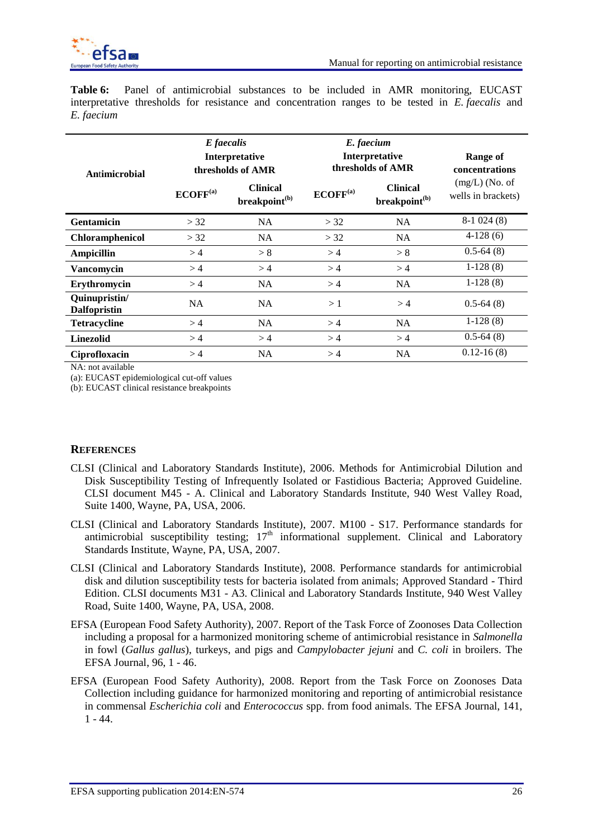

**Table 6:** Panel of antimicrobial substances to be included in AMR monitoring, EUCAST interpretative thresholds for resistance and concentration ranges to be tested in *E. faecalis* and *E. faecium*

| Antimicrobial                        | E faecalis<br>Interpretative<br>thresholds of AMR |                                              | E. faecium<br>Interpretative<br>thresholds of AMR |                                              | <b>Range of</b><br>concentrations      |
|--------------------------------------|---------------------------------------------------|----------------------------------------------|---------------------------------------------------|----------------------------------------------|----------------------------------------|
|                                      | $\mathbf{ECOFF}^{\left(a\right)}$                 | <b>Clinical</b><br>breakpoint <sup>(b)</sup> | ECOFF <sup>(a)</sup>                              | <b>Clinical</b><br>breakpoint <sup>(b)</sup> | $(mg/L)$ (No. of<br>wells in brackets) |
| <b>Gentamicin</b>                    | > 32                                              | NA.                                          | > 32                                              | NA.                                          | $8-1024(8)$                            |
| Chloramphenicol                      | > 32                                              | NA                                           | > 32                                              | <b>NA</b>                                    | $4-128(6)$                             |
| <b>Ampicillin</b>                    | >4                                                | > 8                                          | >4                                                | > 8                                          | $0.5 - 64(8)$                          |
| <b>Vancomycin</b>                    | >4                                                | >4                                           | >4                                                | >4                                           | $1-128(8)$                             |
| Erythromycin                         | >4                                                | NA                                           | >4                                                | NA                                           | $1-128(8)$                             |
| Quinupristin/<br><b>Dalfopristin</b> | <b>NA</b>                                         | <b>NA</b>                                    | >1                                                | >4                                           | $0.5 - 64(8)$                          |
| <b>Tetracycline</b>                  | >4                                                | NA                                           | >4                                                | <b>NA</b>                                    | $1-128(8)$                             |
| <b>Linezolid</b>                     | >4                                                | >4                                           | >4                                                | >4                                           | $0.5 - 64(8)$                          |
| Ciprofloxacin                        | >4                                                | <b>NA</b>                                    | >4                                                | <b>NA</b>                                    | $0.12 - 16(8)$                         |

NA: not available

(a): EUCAST epidemiological cut-off values

(b): EUCAST clinical resistance breakpoints

# <span id="page-25-0"></span>**REFERENCES**

- CLSI (Clinical and Laboratory Standards Institute), 2006. Methods for Antimicrobial Dilution and Disk Susceptibility Testing of Infrequently Isolated or Fastidious Bacteria; Approved Guideline. CLSI document M45 - A. Clinical and Laboratory Standards Institute, 940 West Valley Road, Suite 1400, Wayne, PA, USA, 2006.
- CLSI (Clinical and Laboratory Standards Institute), 2007. M100 S17. Performance standards for antimicrobial susceptibility testing;  $17<sup>th</sup>$  informational supplement. Clinical and Laboratory Standards Institute, Wayne, PA, USA, 2007.
- CLSI (Clinical and Laboratory Standards Institute), 2008. Performance standards for antimicrobial disk and dilution susceptibility tests for bacteria isolated from animals; Approved Standard - Third Edition. CLSI documents M31 - A3. Clinical and Laboratory Standards Institute, 940 West Valley Road, Suite 1400, Wayne, PA, USA, 2008.
- EFSA (European Food Safety Authority), 2007. Report of the Task Force of Zoonoses Data Collection including a proposal for a harmonized monitoring scheme of antimicrobial resistance in *Salmonella* in fowl (*Gallus gallus*), turkeys, and pigs and *Campylobacter jejuni* and *C. coli* in broilers. The EFSA Journal, 96, 1 - 46.
- EFSA (European Food Safety Authority), 2008. Report from the Task Force on Zoonoses Data Collection including guidance for harmonized monitoring and reporting of antimicrobial resistance in commensal *Escherichia coli* and *Enterococcus* spp. from food animals. The EFSA Journal, 141, 1 - 44.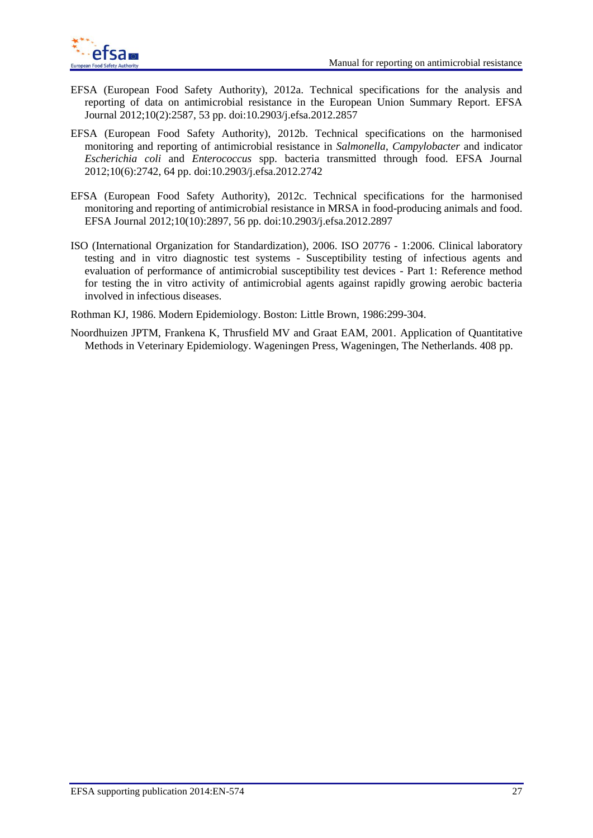

- EFSA (European Food Safety Authority), 2012a. Technical specifications for the analysis and reporting of data on antimicrobial resistance in the European Union Summary Report. EFSA Journal 2012;10(2):2587, 53 pp. doi:10.2903/j.efsa.2012.2857
- EFSA (European Food Safety Authority), 2012b. Technical specifications on the harmonised monitoring and reporting of antimicrobial resistance in *Salmonella*, *Campylobacter* and indicator *Escherichia coli* and *Enterococcus* spp. bacteria transmitted through food. EFSA Journal 2012;10(6):2742, 64 pp. doi:10.2903/j.efsa.2012.2742
- EFSA (European Food Safety Authority), 2012c. Technical specifications for the harmonised monitoring and reporting of antimicrobial resistance in MRSA in food-producing animals and food. EFSA Journal 2012;10(10):2897, 56 pp. doi:10.2903/j.efsa.2012.2897
- ISO (International Organization for Standardization), 2006. ISO 20776 1:2006. Clinical laboratory testing and in vitro diagnostic test systems - Susceptibility testing of infectious agents and evaluation of performance of antimicrobial susceptibility test devices - Part 1: Reference method for testing the in vitro activity of antimicrobial agents against rapidly growing aerobic bacteria involved in infectious diseases.
- Rothman KJ, 1986. Modern Epidemiology. Boston: Little Brown, 1986:299-304.
- Noordhuizen JPTM, Frankena K, Thrusfield MV and Graat EAM, 2001. Application of Quantitative Methods in Veterinary Epidemiology. Wageningen Press, Wageningen, The Netherlands. 408 pp.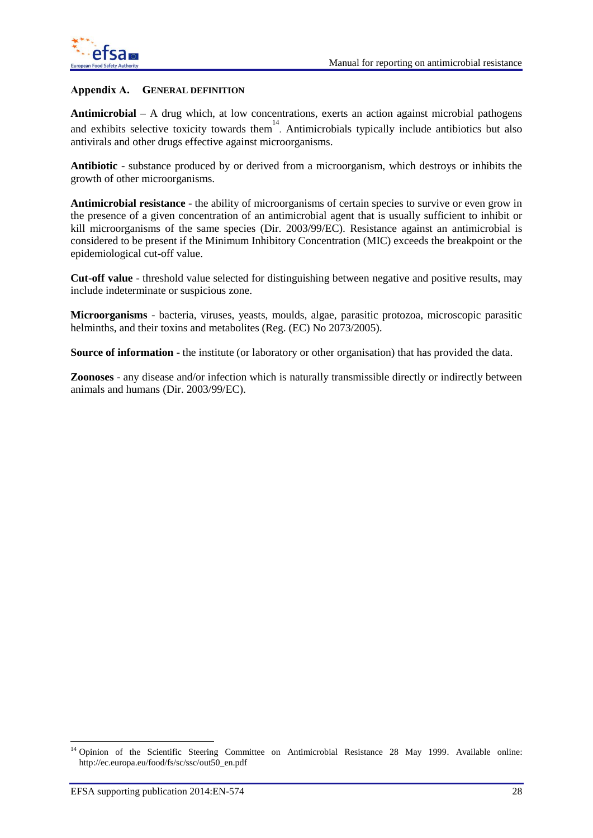

# <span id="page-27-0"></span>**Appendix A. GENERAL DEFINITION**

**Antimicrobial** – A drug which, at low concentrations, exerts an action against microbial pathogens and exhibits selective toxicity towards them<sup>14</sup>. Antimicrobials typically include antibiotics but also antivirals and other drugs effective against microorganisms.

**Antibiotic** - substance produced by or derived from a microorganism, which destroys or inhibits the growth of other microorganisms.

**Antimicrobial resistance** - the ability of microorganisms of certain species to survive or even grow in the presence of a given concentration of an antimicrobial agent that is usually sufficient to inhibit or kill microorganisms of the same species (Dir. 2003/99/EC). Resistance against an antimicrobial is considered to be present if the Minimum Inhibitory Concentration (MIC) exceeds the breakpoint or the epidemiological cut-off value.

**Cut-off value** - threshold value selected for distinguishing between negative and positive results, may include indeterminate or suspicious zone.

**Microorganisms** - bacteria, viruses, yeasts, moulds, algae, parasitic protozoa, microscopic parasitic helminths, and their toxins and metabolites (Reg. (EC) No 2073/2005).

**Source of information** - the institute (or laboratory or other organisation) that has provided the data.

**Zoonoses** - any disease and/or infection which is naturally transmissible directly or indirectly between animals and humans (Dir. 2003/99/EC).

<sup>&</sup>lt;sup>14</sup> Opinion of the Scientific Steering Committee on Antimicrobial Resistance 28 May 1999. Available online: http://ec.europa.eu/food/fs/sc/ssc/out50\_en.pdf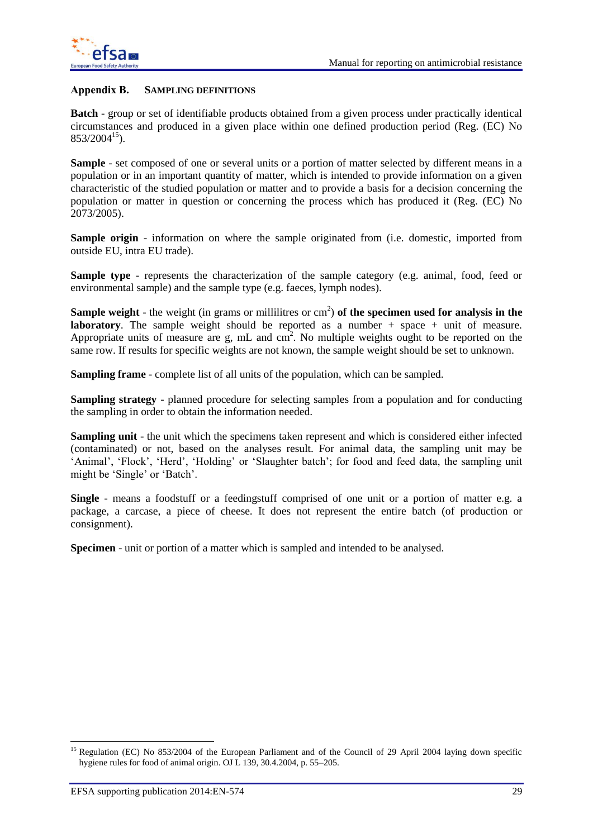



# <span id="page-28-0"></span>**Appendix B. SAMPLING DEFINITIONS**

**Batch** - group or set of identifiable products obtained from a given process under practically identical circumstances and produced in a given place within one defined production period (Reg. (EC) No  $853/2004^{15}$ ).

**Sample** - set composed of one or several units or a portion of matter selected by different means in a population or in an important quantity of matter, which is intended to provide information on a given characteristic of the studied population or matter and to provide a basis for a decision concerning the population or matter in question or concerning the process which has produced it (Reg. (EC) No 2073/2005).

**Sample origin** - information on where the sample originated from (i.e. domestic, imported from outside EU, intra EU trade).

**Sample type** - represents the characterization of the sample category (e.g. animal, food, feed or environmental sample) and the sample type (e.g. faeces, lymph nodes).

**Sample weight** - the weight (in grams or millilitres or  $cm<sup>2</sup>$ ) of the specimen used for analysis in the **laboratory**. The sample weight should be reported as a number + space + unit of measure. Appropriate units of measure are g, mL and  $cm<sup>2</sup>$ . No multiple weights ought to be reported on the same row. If results for specific weights are not known, the sample weight should be set to unknown.

**Sampling frame** - complete list of all units of the population, which can be sampled.

**Sampling strategy** - planned procedure for selecting samples from a population and for conducting the sampling in order to obtain the information needed.

**Sampling unit** - the unit which the specimens taken represent and which is considered either infected (contaminated) or not, based on the analyses result. For animal data, the sampling unit may be 'Animal', 'Flock', 'Herd', 'Holding' or 'Slaughter batch'; for food and feed data, the sampling unit might be 'Single' or 'Batch'.

**Single** - means a foodstuff or a feedingstuff comprised of one unit or a portion of matter e.g. a package, a carcase, a piece of cheese. It does not represent the entire batch (of production or consignment).

**Specimen** - unit or portion of a matter which is sampled and intended to be analysed.

<sup>&</sup>lt;sup>15</sup> Regulation (EC) No 853/2004 of the European Parliament and of the Council of 29 April 2004 laying down specific hygiene rules for food of animal origin. OJ L 139, 30.4.2004, p. 55–205.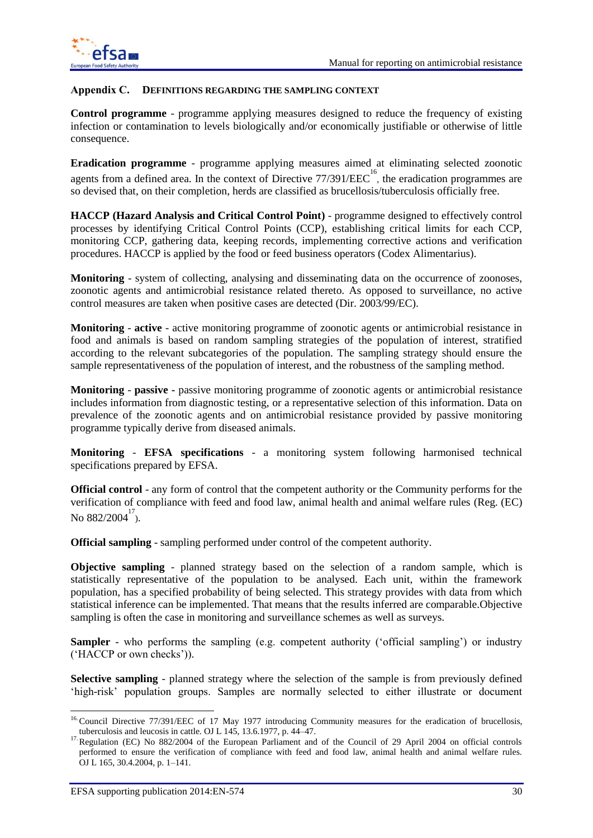

### <span id="page-29-0"></span>**Appendix C. DEFINITIONS REGARDING THE SAMPLING CONTEXT**

**Control programme** - programme applying measures designed to reduce the frequency of existing infection or contamination to levels biologically and/or economically justifiable or otherwise of little consequence.

**Eradication programme** - programme applying measures aimed at eliminating selected zoonotic agents from a defined area. In the context of Directive 77/391/EEC<sup>16</sup>, the eradication programmes are so devised that, on their completion, herds are classified as brucellosis/tuberculosis officially free.

**HACCP (Hazard Analysis and Critical Control Point)** - programme designed to effectively control processes by identifying Critical Control Points (CCP), establishing critical limits for each CCP, monitoring CCP, gathering data, keeping records, implementing corrective actions and verification procedures. HACCP is applied by the food or feed business operators (Codex Alimentarius).

**Monitoring** - system of collecting, analysing and disseminating data on the occurrence of zoonoses, zoonotic agents and antimicrobial resistance related thereto. As opposed to surveillance, no active control measures are taken when positive cases are detected (Dir. 2003/99/EC).

**Monitoring** - **active** - active monitoring programme of zoonotic agents or antimicrobial resistance in food and animals is based on random sampling strategies of the population of interest, stratified according to the relevant subcategories of the population. The sampling strategy should ensure the sample representativeness of the population of interest, and the robustness of the sampling method.

**Monitoring** - **passive -** passive monitoring programme of zoonotic agents or antimicrobial resistance includes information from diagnostic testing, or a representative selection of this information. Data on prevalence of the zoonotic agents and on antimicrobial resistance provided by passive monitoring programme typically derive from diseased animals.

**Monitoring** - **EFSA specifications** - a monitoring system following harmonised technical specifications prepared by EFSA.

**Official control** - any form of control that the competent authority or the Community performs for the verification of compliance with feed and food law, animal health and animal welfare rules (Reg. (EC) No 882/2004 $^{17}$ ).

**Official sampling** - sampling performed under control of the competent authority.

**Objective sampling** - planned strategy based on the selection of a random sample, which is statistically representative of the population to be analysed. Each unit, within the framework population, has a specified probability of being selected. This strategy provides with data from which statistical inference can be implemented. That means that the results inferred are comparable.Objective sampling is often the case in monitoring and surveillance schemes as well as surveys.

**Sampler** - who performs the sampling (e.g. competent authority ('official sampling') or industry ('HACCP or own checks')).

**Selective sampling** - planned strategy where the selection of the sample is from previously defined 'high-risk' population groups. Samples are normally selected to either illustrate or document

<sup>&</sup>lt;sup>16</sup> Council Directive 77/391/EEC of 17 May 1977 introducing Community measures for the eradication of brucellosis, tuberculosis and leucosis in cattle. OJ L 145, 13.6.1977, p. 44–47.

<sup>&</sup>lt;sup>17</sup> Regulation (EC) No 882/2004 of the European Parliament and of the Council of 29 April 2004 on official controls performed to ensure the verification of compliance with feed and food law, animal health and animal welfare rules. OJ L 165, 30.4.2004, p. 1–141.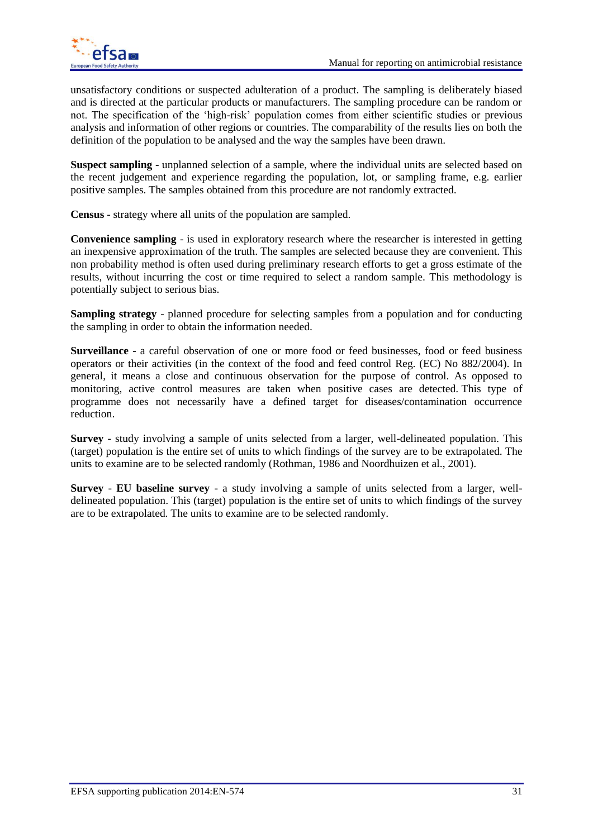unsatisfactory conditions or suspected adulteration of a product. The sampling is deliberately biased and is directed at the particular products or manufacturers. The sampling procedure can be random or not. The specification of the 'high-risk' population comes from either scientific studies or previous analysis and information of other regions or countries. The comparability of the results lies on both the definition of the population to be analysed and the way the samples have been drawn.

**Suspect sampling** - unplanned selection of a sample, where the individual units are selected based on the recent judgement and experience regarding the population, lot, or sampling frame, e.g. earlier positive samples. The samples obtained from this procedure are not randomly extracted.

**Census** - strategy where all units of the population are sampled.

**Convenience sampling** - is used in exploratory research where the researcher is interested in getting an inexpensive approximation of the truth. The samples are selected because they are convenient. This non probability method is often used during preliminary research efforts to get a gross estimate of the results, without incurring the cost or time required to select a random sample. This methodology is potentially subject to serious bias.

**Sampling strategy** - planned procedure for selecting samples from a population and for conducting the sampling in order to obtain the information needed.

**Surveillance** - a careful observation of one or more food or feed businesses, food or feed business operators or their activities (in the context of the food and feed control Reg. (EC) No 882/2004). In general, it means a close and continuous observation for the purpose of control. As opposed to monitoring, active control measures are taken when positive cases are detected. This type of programme does not necessarily have a defined target for diseases/contamination occurrence reduction.

**Survey** - study involving a sample of units selected from a larger, well-delineated population. This (target) population is the entire set of units to which findings of the survey are to be extrapolated. The units to examine are to be selected randomly (Rothman, 1986 and Noordhuizen et al., 2001).

**Survey** - **EU baseline survey** - a study involving a sample of units selected from a larger, welldelineated population. This (target) population is the entire set of units to which findings of the survey are to be extrapolated. The units to examine are to be selected randomly.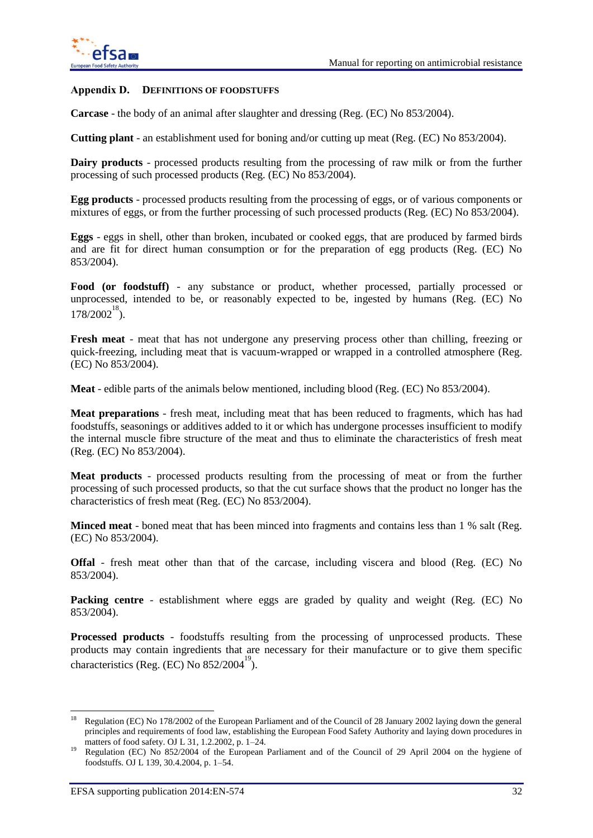

# <span id="page-31-0"></span>**Appendix D. DEFINITIONS OF FOODSTUFFS**

**Carcase** - the body of an animal after slaughter and dressing (Reg. (EC) No 853/2004).

**Cutting plant** - an establishment used for boning and/or cutting up meat (Reg. (EC) No 853/2004).

**Dairy products** - processed products resulting from the processing of raw milk or from the further processing of such processed products (Reg. (EC) No 853/2004).

**Egg products** - processed products resulting from the processing of eggs, or of various components or mixtures of eggs, or from the further processing of such processed products (Reg. (EC) No 853/2004).

**Eggs** - eggs in shell, other than broken, incubated or cooked eggs, that are produced by farmed birds and are fit for direct human consumption or for the preparation of egg products (Reg. (EC) No 853/2004).

**Food (or foodstuff)** - any substance or product, whether processed, partially processed or unprocessed, intended to be, or reasonably expected to be, ingested by humans (Reg. (EC) No  $178/2002^{18}$ ).

**Fresh meat** - meat that has not undergone any preserving process other than chilling, freezing or quick-freezing, including meat that is vacuum-wrapped or wrapped in a controlled atmosphere (Reg. (EC) No 853/2004).

**Meat** - edible parts of the animals below mentioned, including blood (Reg. (EC) No 853/2004).

**Meat preparations** - fresh meat, including meat that has been reduced to fragments, which has had foodstuffs, seasonings or additives added to it or which has undergone processes insufficient to modify the internal muscle fibre structure of the meat and thus to eliminate the characteristics of fresh meat (Reg. (EC) No 853/2004).

**Meat products** - processed products resulting from the processing of meat or from the further processing of such processed products, so that the cut surface shows that the product no longer has the characteristics of fresh meat (Reg. (EC) No 853/2004).

**Minced meat** - boned meat that has been minced into fragments and contains less than 1 % salt (Reg. (EC) No 853/2004).

**Offal** - fresh meat other than that of the carcase, including viscera and blood (Reg. (EC) No 853/2004).

**Packing centre** - establishment where eggs are graded by quality and weight (Reg. (EC) No 853/2004).

**Processed products** - foodstuffs resulting from the processing of unprocessed products. These products may contain ingredients that are necessary for their manufacture or to give them specific characteristics (Reg. (EC) No  $852/2004^{19}$ ).

l <sup>18</sup> Regulation (EC) No 178/2002 of the European Parliament and of the Council of 28 January 2002 laying down the general principles and requirements of food law, establishing the European Food Safety Authority and laying down procedures in matters of food safety. OJ L 31, 1.2.2002, p. 1–24.

<sup>&</sup>lt;sup>19</sup> Regulation (EC) No 852/2004 of the European Parliament and of the Council of 29 April 2004 on the hygiene of foodstuffs. OJ L 139, 30.4.2004, p. 1–54.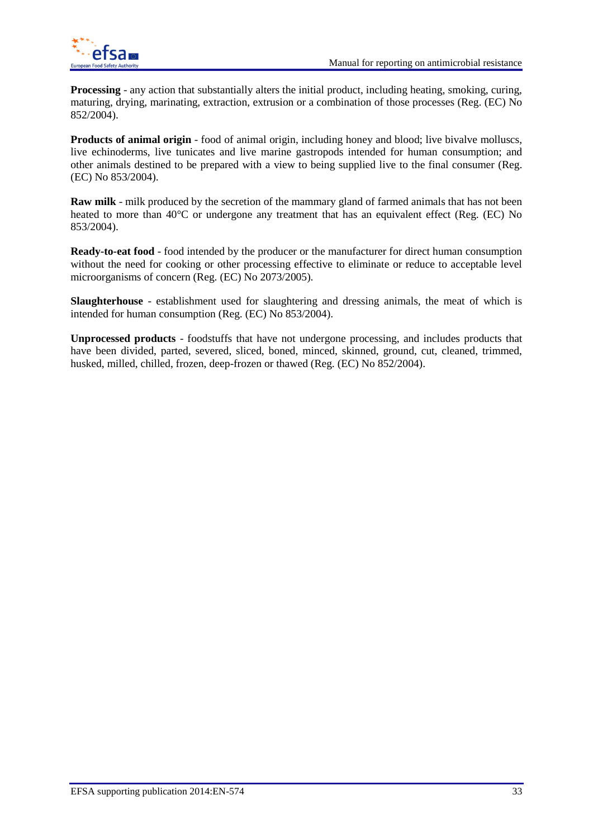

**Processing** - any action that substantially alters the initial product, including heating, smoking, curing, maturing, drying, marinating, extraction, extrusion or a combination of those processes (Reg. (EC) No 852/2004).

**Products of animal origin** - food of animal origin, including honey and blood; live bivalve molluscs, live echinoderms, live tunicates and live marine gastropods intended for human consumption; and other animals destined to be prepared with a view to being supplied live to the final consumer (Reg. (EC) No 853/2004).

**Raw milk** - milk produced by the secretion of the mammary gland of farmed animals that has not been heated to more than 40<sup>o</sup>C or undergone any treatment that has an equivalent effect (Reg. (EC) No 853/2004).

**Ready-to-eat food** - food intended by the producer or the manufacturer for direct human consumption without the need for cooking or other processing effective to eliminate or reduce to acceptable level microorganisms of concern (Reg. (EC) No 2073/2005).

**Slaughterhouse** - establishment used for slaughtering and dressing animals, the meat of which is intended for human consumption (Reg. (EC) No 853/2004).

**Unprocessed products** - foodstuffs that have not undergone processing, and includes products that have been divided, parted, severed, sliced, boned, minced, skinned, ground, cut, cleaned, trimmed, husked, milled, chilled, frozen, deep-frozen or thawed (Reg. (EC) No 852/2004).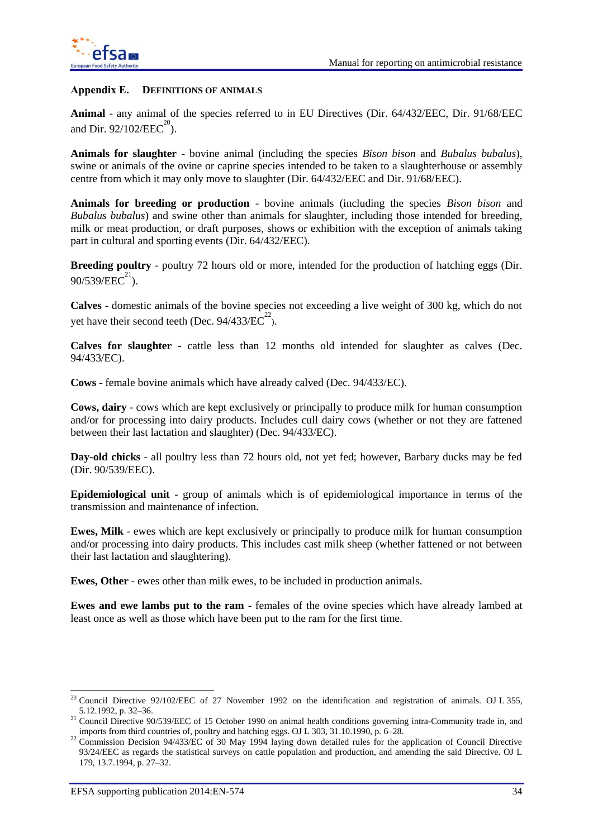

# <span id="page-33-0"></span>**Appendix E. DEFINITIONS OF ANIMALS**

**Animal** - any animal of the species referred to in EU Directives (Dir. 64/432/EEC, Dir. 91/68/EEC and Dir. 92/102/ $\text{EEC}^{20}$ ).

**Animals for slaughter** - bovine animal (including the species *Bison bison* and *Bubalus bubalus*), swine or animals of the ovine or caprine species intended to be taken to a slaughterhouse or assembly centre from which it may only move to slaughter (Dir. 64/432/EEC and Dir. 91/68/EEC).

**Animals for breeding or production** - bovine animals (including the species *Bison bison* and *Bubalus bubalus*) and swine other than animals for slaughter, including those intended for breeding, milk or meat production, or draft purposes, shows or exhibition with the exception of animals taking part in cultural and sporting events (Dir. 64/432/EEC).

**Breeding poultry** - poultry 72 hours old or more, intended for the production of hatching eggs (Dir. 90/539/ $\mathrm{EEC}^{21}$ ).

**Calves** - domestic animals of the bovine species not exceeding a live weight of 300 kg, which do not yet have their second teeth (Dec.  $94/433/EC^{22}$ ).

**Calves for slaughter** - cattle less than 12 months old intended for slaughter as calves (Dec. 94/433/EC).

**Cows** - female bovine animals which have already calved (Dec. 94/433/EC).

**Cows, dairy** - cows which are kept exclusively or principally to produce milk for human consumption and/or for processing into dairy products. Includes cull dairy cows (whether or not they are fattened between their last lactation and slaughter) (Dec. 94/433/EC).

**Day-old chicks** - all poultry less than 72 hours old, not yet fed; however, Barbary ducks may be fed (Dir. 90/539/EEC).

**Epidemiological unit** - group of animals which is of epidemiological importance in terms of the transmission and maintenance of infection.

**Ewes, Milk** - ewes which are kept exclusively or principally to produce milk for human consumption and/or processing into dairy products. This includes cast milk sheep (whether fattened or not between their last lactation and slaughtering).

**Ewes, Other** - ewes other than milk ewes, to be included in production animals.

**Ewes and ewe lambs put to the ram** - females of the ovine species which have already lambed at least once as well as those which have been put to the ram for the first time.

<sup>&</sup>lt;sup>20</sup> Council Directive 92/102/EEC of 27 November 1992 on the identification and registration of animals. OJ L 355, 5.12.1992, p. 32–36.

<sup>&</sup>lt;sup>21</sup> Council Directive 90/539/EEC of 15 October 1990 on animal health conditions governing intra-Community trade in, and imports from third countries of, poultry and hatching eggs. OJ L 303, 31.10.1990, p. 6–28.

<sup>&</sup>lt;sup>22</sup> Commission Decision 94/433/EC of 30 May 1994 laying down detailed rules for the application of Council Directive 93/24/EEC as regards the statistical surveys on cattle population and production, and amending the said Directive. OJ L 179, 13.7.1994, p. 27–32.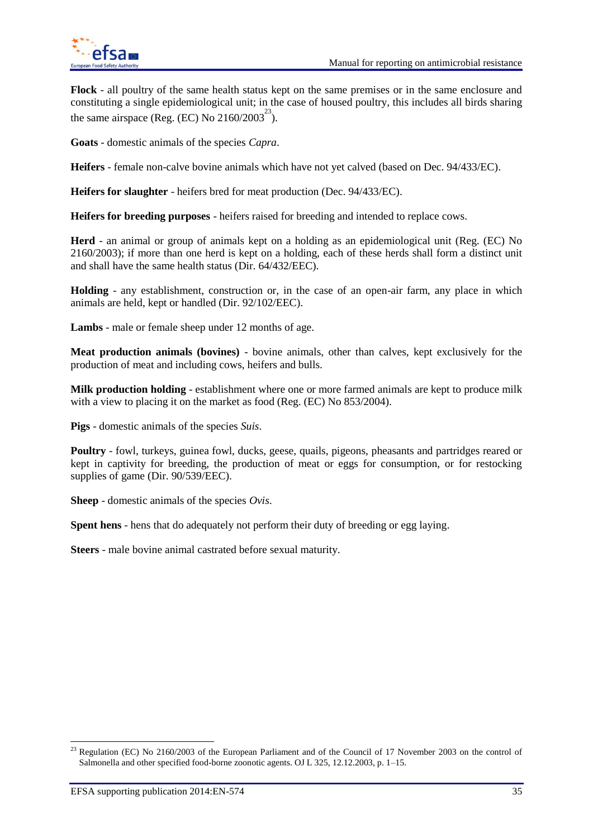

**Flock** - all poultry of the same health status kept on the same premises or in the same enclosure and constituting a single epidemiological unit; in the case of housed poultry, this includes all birds sharing the same airspace (Reg. (EC) No  $2160/2003^{23}$ ).

**Goats** - domestic animals of the species *Capra*.

**Heifers** - female non-calve bovine animals which have not yet calved (based on Dec. 94/433/EC).

**Heifers for slaughter** - heifers bred for meat production (Dec. 94/433/EC).

**Heifers for breeding purposes** - heifers raised for breeding and intended to replace cows.

**Herd** - an animal or group of animals kept on a holding as an epidemiological unit (Reg. (EC) No 2160/2003); if more than one herd is kept on a holding, each of these herds shall form a distinct unit and shall have the same health status (Dir. 64/432/EEC).

**Holding** - any establishment, construction or, in the case of an open-air farm, any place in which animals are held, kept or handled (Dir. 92/102/EEC).

**Lambs** - male or female sheep under 12 months of age.

**Meat production animals (bovines)** - bovine animals, other than calves, kept exclusively for the production of meat and including cows, heifers and bulls.

**Milk production holding** - establishment where one or more farmed animals are kept to produce milk with a view to placing it on the market as food (Reg. (EC) No 853/2004).

**Pigs** - domestic animals of the species *Suis*.

**Poultry** - fowl, turkeys, guinea fowl, ducks, geese, quails, pigeons, pheasants and partridges reared or kept in captivity for breeding, the production of meat or eggs for consumption, or for restocking supplies of game (Dir. 90/539/EEC).

**Sheep** - domestic animals of the species *Ovis*.

**Spent hens** - hens that do adequately not perform their duty of breeding or egg laying.

**Steers** - male bovine animal castrated before sexual maturity.

 $^{23}$  Regulation (EC) No 2160/2003 of the European Parliament and of the Council of 17 November 2003 on the control of Salmonella and other specified food-borne zoonotic agents. OJ L 325, 12.12.2003, p. 1–15.